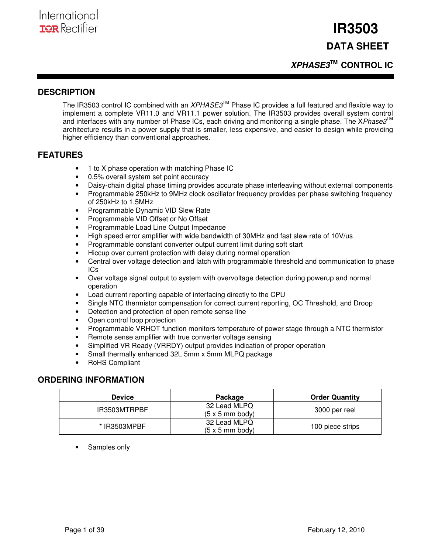### **XPHASE3TM CONTROL IC**

#### **DESCRIPTION**

The IR3503 control IC combined with an XPHASE3<sup>TM</sup> Phase IC provides a full featured and flexible way to implement a complete VR11.0 and VR11.1 power solution. The IR3503 provides overall system control and interfaces with any number of Phase ICs, each driving and monitoring a single phase. The XPhase $3^{TM}$ architecture results in a power supply that is smaller, less expensive, and easier to design while providing higher efficiency than conventional approaches.

#### **FEATURES**

- 1 to X phase operation with matching Phase IC
- 0.5% overall system set point accuracy
- Daisy-chain digital phase timing provides accurate phase interleaving without external components
- Programmable 250kHz to 9MHz clock oscillator frequency provides per phase switching frequency of 250kHz to 1.5MHz
- Programmable Dynamic VID Slew Rate
- Programmable VID Offset or No Offset
- Programmable Load Line Output Impedance
- High speed error amplifier with wide bandwidth of 30MHz and fast slew rate of 10V/us
- Programmable constant converter output current limit during soft start
- Hiccup over current protection with delay during normal operation
- Central over voltage detection and latch with programmable threshold and communication to phase ICs
- Over voltage signal output to system with overvoltage detection during powerup and normal operation
- Load current reporting capable of interfacing directly to the CPU
- Single NTC thermistor compensation for correct current reporting, OC Threshold, and Droop
- Detection and protection of open remote sense line
- Open control loop protection
- Programmable VRHOT function monitors temperature of power stage through a NTC thermistor
- Remote sense amplifier with true converter voltage sensing
- Simplified VR Ready (VRRDY) output provides indication of proper operation
- Small thermally enhanced 32L 5mm x 5mm MLPQ package
- RoHS Compliant

#### **ORDERING INFORMATION**

| <b>Device</b> | Package                                        | <b>Order Quantity</b> |
|---------------|------------------------------------------------|-----------------------|
| IR3503MTRPBF  | 32 Lead MLPQ<br>$(5 \times 5 \text{ mm}$ body) | 3000 per reel         |
| * IR3503MPBF  | 32 Lead MLPQ<br>$(5 \times 5 \text{ mm}$ body) | 100 piece strips      |

Samples only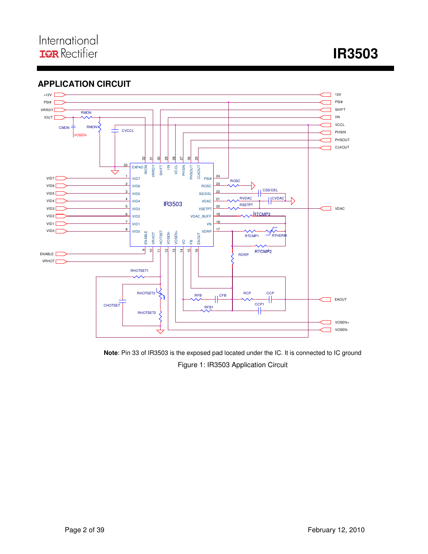# International **IGR** Rectifier

 **IR3503** 

**APPLICATION CIRCUIT** 



**Note**: Pin 33 of IR3503 is the exposed pad located under the IC. It is connected to IC ground Figure 1: IR3503 Application Circuit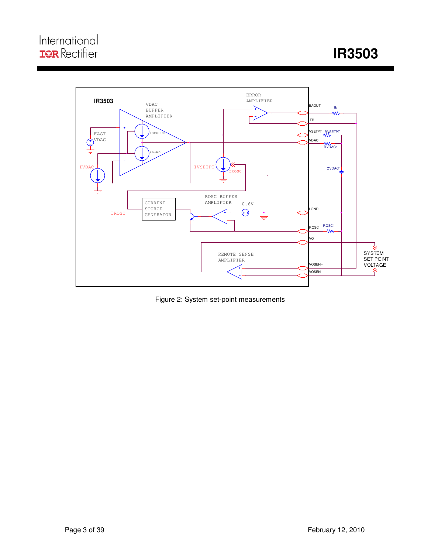# **International**<br> **IR3503**



Figure 2: System set-point measurements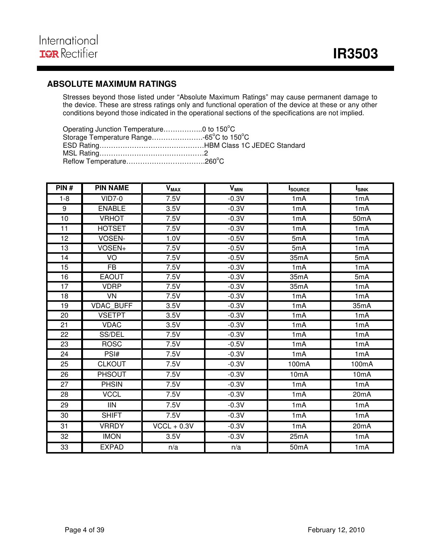#### **ABSOLUTE MAXIMUM RATINGS**

Stresses beyond those listed under "Absolute Maximum Ratings" may cause permanent damage to the device. These are stress ratings only and functional operation of the device at these or any other conditions beyond those indicated in the operational sections of the specifications are not implied.

| Operating Junction Temperature0 to 150°C |  |
|------------------------------------------|--|
|                                          |  |
|                                          |  |
|                                          |  |
|                                          |  |

| PIN#    | <b>PIN NAME</b>  | $V_{MAX}$         | $V_{MIN}$ | <b>I</b> SOURCE   | <b>I</b> <sub>SINK</sub> |
|---------|------------------|-------------------|-----------|-------------------|--------------------------|
| $1 - 8$ | <b>VID7-0</b>    | 7.5V              | $-0.3V$   | 1mA               | 1mA                      |
| 9       | <b>ENABLE</b>    | 3.5V              | $-0.3V$   | 1mA               | 1mA                      |
| 10      | <b>VRHOT</b>     | 7.5V              | $-0.3V$   | 1mA               | 50 <sub>m</sub> A        |
| 11      | <b>HOTSET</b>    | 7.5V              | $-0.3V$   | 1mA               | 1mA                      |
| 12      | VOSEN-           | 1.0V              | $-0.5V$   | 5mA               | 1 <sub>m</sub> A         |
| 13      | VOSEN+           | 7.5V              | $-0.5V$   | 5mA               | 1mA                      |
| 14      | VO               | 7.5V              | $-0.5V$   | 35mA              | 5mA                      |
| 15      | <b>FB</b>        | 7.5V              | $-0.3V$   | 1mA               | 1mA                      |
| 16      | <b>EAOUT</b>     | 7.5V              | $-0.3V$   | 35mA              | 5mA                      |
| 17      | <b>VDRP</b>      | 7.5V              | $-0.3V$   | 35mA              | 1mA                      |
| 18      | VN               | 7.5V              | $-0.3V$   | 1mA               | 1mA                      |
| 19      | <b>VDAC BUFF</b> | 3.5V              | $-0.3V$   | 1mA               | 35mA                     |
| 20      | <b>VSETPT</b>    | 3.5V              | $-0.3V$   | 1mA               | 1mA                      |
| 21      | <b>VDAC</b>      | 3.5V              | $-0.3V$   | 1mA               | 1mA                      |
| 22      | SS/DEL           | $\overline{7.5}V$ | $-0.3V$   | 1mA               | 1mA                      |
| 23      | <b>ROSC</b>      | 7.5V              | $-0.5V$   | 1mA               | 1mA                      |
| 24      | PSI#             | 7.5V              | $-0.3V$   | 1mA               | 1mA                      |
| 25      | <b>CLKOUT</b>    | 7.5V              | $-0.3V$   | 100mA             | 100mA                    |
| 26      | <b>PHSOUT</b>    | 7.5V              | $-0.3V$   | 10 <sub>m</sub> A | 10 <sub>m</sub> A        |
| 27      | <b>PHSIN</b>     | 7.5V              | $-0.3V$   | 1mA               | 1mA                      |
| 28      | <b>VCCL</b>      | 7.5V              | $-0.3V$   | 1mA               | 20mA                     |
| 29      | <b>IIN</b>       | 7.5V              | $-0.3V$   | 1mA               | 1 <sub>m</sub> A         |
| 30      | <b>SHIFT</b>     | 7.5V              | $-0.3V$   | 1 <sub>m</sub> A  | 1 <sub>m</sub> A         |
| 31      | <b>VRRDY</b>     | $VCCL + 0.3V$     | $-0.3V$   | 1mA               | 20mA                     |
| 32      | <b>IMON</b>      | 3.5V              | $-0.3V$   | 25mA              | 1mA                      |
| 33      | <b>EXPAD</b>     | n/a               | n/a       | 50 <sub>m</sub> A | 1mA                      |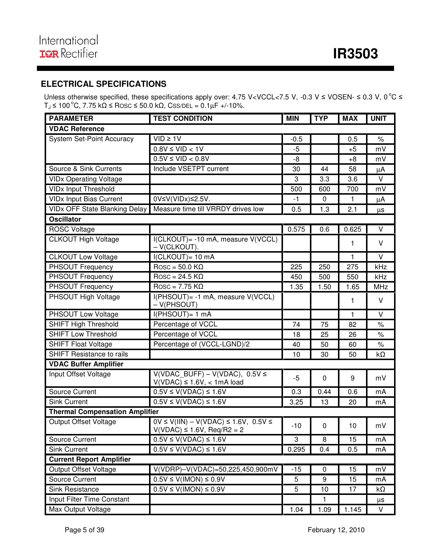#### **ELECTRICAL SPECIFICATIONS**

Unless otherwise specified, these specifications apply over: 4.75 V<VCCL<7.5 V, -0.3 V ≤ VOSEN- ≤ 0.3 V, 0 °C ≤  $T_J \le 100\degree C$ , 7.75 kΩ  $\le$  Rosc  $\le$  50.0 kΩ, CSS/DEL = 0.1µF +/-10%.

| <b>PARAMETER</b>                      | <b>TEST CONDITION</b>                                                              | <b>MIN</b>      | <b>TYP</b>     | <b>MAX</b>      | <b>UNIT</b>       |
|---------------------------------------|------------------------------------------------------------------------------------|-----------------|----------------|-----------------|-------------------|
| <b>VDAC Reference</b>                 |                                                                                    |                 |                |                 |                   |
| System Set-Point Accuracy             | $VID \geq 1V$                                                                      | $-0.5$          |                | 0.5             | $\%$              |
|                                       | $0.8V \leq VID < 1V$                                                               | $-5$            |                | $+5$            | mV                |
|                                       | $0.5V \leq VID < 0.8V$                                                             | -8              |                | $+8$            | mV                |
| Source & Sink Currents                | Include VSETPT current                                                             | 30              | 44             | 58              | $\mu$ A           |
| <b>VIDx Operating Voltage</b>         |                                                                                    | 3               | 3.3            | 3.6             | $\vee$            |
| <b>VIDx Input Threshold</b>           |                                                                                    | 500             | 600            | 700             | mV                |
| <b>VIDx Input Bias Current</b>        | 0V≤V(VIDx)≤2.5V.                                                                   | $-1$            | $\overline{0}$ | 1               | μA                |
| <b>VIDx OFF State Blanking Delay</b>  | Measure time till VRRDY drives low                                                 | 0.5             | 1.3            | 2.1             | $\mu s$           |
| <b>Oscillator</b>                     |                                                                                    |                 |                |                 |                   |
| <b>ROSC Voltage</b>                   |                                                                                    | 0.575           | 0.6            | 0.625           | $\mathsf V$       |
| <b>CLKOUT High Voltage</b>            | I(CLKOUT)= -10 mA, measure V(VCCL)<br>- V(CLKOUT).                                 |                 |                | 1               | $\vee$            |
| <b>CLKOUT Low Voltage</b>             | $I(CLKOUT) = 10 mA$                                                                |                 |                | $\mathbf{1}$    | $\overline{\vee}$ |
| PHSOUT Frequency                      | $Rosc = 50.0 K\Omega$                                                              | 225             | 250            | 275             | kHz               |
| <b>PHSOUT Frequency</b>               | $Rosc = 24.5 K\Omega$                                                              | 450             | 500            | 550             | kHz               |
| <b>PHSOUT Frequency</b>               | $\overline{R}$ Rosc = 7.75 K $\Omega$                                              | 1.35            | 1.50           | 1.65            | MHz               |
| <b>PHSOUT High Voltage</b>            | I(PHSOUT)= -1 mA, measure V(VCCL)<br>- V(PHSOUT)                                   |                 |                | 1               | $\vee$            |
| PHSOUT Low Voltage                    | I(PHSOUT)= 1 mA                                                                    |                 |                | 1               | $\vee$            |
| <b>SHIFT High Threshold</b>           | Percentage of VCCL                                                                 | 74              | 75             | 82              | $\%$              |
| <b>SHIFT Low Threshold</b>            | Percentage of VCCL                                                                 | 18              | 25             | 26              | $\%$              |
| <b>SHIFT Float Voltage</b>            | Percentage of (VCCL-LGND)/2                                                        | 40              | 50             | 60              | $\%$              |
| <b>SHIFT Resistance to rails</b>      |                                                                                    | 10              | 30             | 50              | $k\Omega$         |
| <b>VDAC Buffer Amplifier</b>          |                                                                                    |                 |                |                 |                   |
| Input Offset Voltage                  | $V(VDAC$ BUFF) – $V(VDAC)$ , 0.5V $\leq$<br>$V(VDAC) \le 1.6V$ , < 1mA load        | $-5$            | $\mathbf 0$    | 9               | mV                |
| <b>Source Current</b>                 | $0.5V \le V(VDAC) \le 1.6V$                                                        | 0.3             | 0.44           | 0.6             | mA                |
| <b>Sink Current</b>                   | $0.5V \le V(VDAC) \le 1.6V$                                                        | 3.25            | 13             | 20              | mA                |
| <b>Thermal Compensation Amplifier</b> |                                                                                    |                 |                |                 |                   |
| <b>Output Offset Voltage</b>          | $0V \le V(IIN) - V(VDAC) \le 1.6V$ , $0.5V \le$<br>$V(VDAC) \le 1.6V$ , Req/R2 = 2 | $-10$           | $\overline{0}$ | 10 <sub>1</sub> | mV                |
| Source Current                        | $0.5V \le V(VDAC) \le 1.6V$                                                        | 3               | 8              | 15              | mA                |
| <b>Sink Current</b>                   | $0.5V \le V(VDAC) \le 1.6V$                                                        | 0.295           | 0.4            | 0.5             | mA                |
| <b>Current Report Amplifier</b>       |                                                                                    |                 |                |                 |                   |
| <b>Output Offset Voltage</b>          | V(VDRP)-V(VDAC)=50,225,450,900mV                                                   | $-15$           | $\mathbf 0$    | 15              | mV                |
| Source Current                        | $0.5V \leq V(IMON) \leq 0.9V$                                                      | $5\phantom{.0}$ | 9              | 15              | mA                |
| <b>Sink Resistance</b>                | $0.5V \le V(IMON) \le 0.9V$                                                        | 5               | 10             | 17              | $k\Omega$         |
| Input Filter Time Constant            |                                                                                    |                 | 1              |                 | $\mu s$           |
| Max Output Voltage                    |                                                                                    | 1.04            | 1.09           | 1.145           | V                 |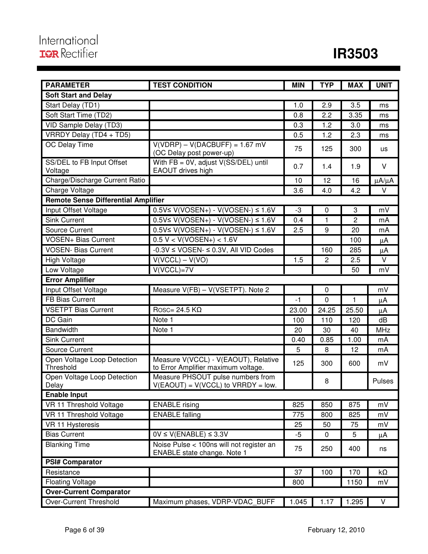| <b>PARAMETER</b>                           | <b>TEST CONDITION</b>                                                        | <b>MIN</b> | <b>TYP</b>     | <b>MAX</b>     | <b>UNIT</b>   |
|--------------------------------------------|------------------------------------------------------------------------------|------------|----------------|----------------|---------------|
| <b>Soft Start and Delay</b>                |                                                                              |            |                |                |               |
| Start Delay (TD1)                          |                                                                              | 1.0        | 2.9            | 3.5            | ms            |
| Soft Start Time (TD2)                      |                                                                              | 0.8        | 2.2            | 3.35           | ms            |
| VID Sample Delay (TD3)                     |                                                                              | 0.3        | 1.2            | 3.0            | ms            |
| VRRDY Delay (TD4 + TD5)                    |                                                                              | 0.5        | 1.2            | 2.3            | ms            |
| <b>OC Delay Time</b>                       | $V(VDRP) - V(DACBUFF) = 1.67$ mV<br>(OC Delay post power-up)                 | 75         | 125            | 300            | us            |
| SS/DEL to FB Input Offset<br>Voltage       | With $FB = 0V$ , adjust $V(SS/DEL)$ until<br>EAOUT drives high               | 0.7        | 1.4            | 1.9            | $\vee$        |
| Charge/Discharge Current Ratio             |                                                                              | 10         | 12             | 16             | $\mu A/\mu A$ |
| Charge Voltage                             |                                                                              | 3.6        | 4.0            | 4.2            | $\vee$        |
| <b>Remote Sense Differential Amplifier</b> |                                                                              |            |                |                |               |
| Input Offset Voltage                       | $0.5V$ ≤ V(VOSEN+) - V(VOSEN-) ≤ 1.6V                                        | -3         | 0              | 3              | mV            |
| <b>Sink Current</b>                        | $0.5V \le V(VOSEN+) - V(VOSEN-) \le 1.6V$                                    | 0.4        | $\mathbf{1}$   | $\overline{2}$ | mA            |
| Source Current                             | $0.5V \le V(VOSEN+) - V(VOSEN-) \le 1.6V$                                    | 2.5        | 9              | 20             | mA            |
| <b>VOSEN+ Bias Current</b>                 | $0.5 V < V(VOSEN+) < 1.6 V$                                                  |            |                | 100            | μA            |
| <b>VOSEN- Bias Current</b>                 | $-0.3V \leq \text{VOSEN-} \leq 0.3V$ , All VID Codes                         |            | 160            | 285            | μA            |
| <b>High Voltage</b>                        | $V(VCCL) - V(VO)$                                                            | 1.5        | $\overline{c}$ | 2.5            | $\vee$        |
| Low Voltage                                | $V(VCCL)=7V$                                                                 |            |                | 50             | mV            |
| <b>Error Amplifier</b>                     |                                                                              |            |                |                |               |
| Input Offset Voltage                       | Measure V(FB) - V(VSETPT). Note 2                                            |            | $\mathbf 0$    |                | mV            |
| FB Bias Current                            |                                                                              | $-1$       | 0              | 1              | μA            |
| <b>VSETPT Bias Current</b>                 | Rosc= 24.5 $K\Omega$                                                         | 23.00      | 24.25          | 25.50          | $\mu$ A       |
| DC Gain                                    | Note 1                                                                       | 100        | 110            | 120            | dB            |
| <b>Bandwidth</b>                           | Note 1                                                                       | 20         | 30             | 40             | MHz           |
| <b>Sink Current</b>                        |                                                                              | 0.40       | 0.85           | 1.00           | mA            |
| <b>Source Current</b>                      |                                                                              | 5          | 8              | 12             | mA            |
| Open Voltage Loop Detection<br>Threshold   | Measure V(VCCL) - V(EAOUT), Relative<br>to Error Amplifier maximum voltage.  | 125        | 300            | 600            | mV            |
| Open Voltage Loop Detection<br>Delay       | Measure PHSOUT pulse numbers from<br>$V(EAOUT) = V(VCCL)$ to $VRRDY = low$ . |            | 8              |                | Pulses        |
| <b>Enable Input</b>                        |                                                                              |            |                |                |               |
| VR 11 Threshold Voltage                    | <b>ENABLE</b> rising                                                         | 825        | 850            | 875            | mV            |
| VR 11 Threshold Voltage                    | <b>ENABLE</b> falling                                                        | 775        | 800            | 825            | mV            |
| VR 11 Hysteresis                           |                                                                              | 25         | 50             | 75             | mV            |
| <b>Bias Current</b>                        | $0V \le V(ENABLE) \le 3.3V$                                                  | $-5$       | $\mathbf 0$    | 5              | μA            |
| <b>Blanking Time</b>                       | Noise Pulse < 100ns will not register an<br>ENABLE state change. Note 1      | 75         | 250            | 400            | ns            |
| <b>PSI# Comparator</b>                     |                                                                              |            |                |                |               |
| Resistance                                 |                                                                              | 37         | 100            | 170            | kΩ            |
| <b>Floating Voltage</b>                    |                                                                              | 800        |                | 1150           | mV            |
| <b>Over-Current Comparator</b>             |                                                                              |            |                |                |               |
| Over-Current Threshold                     | Maximum phases, VDRP-VDAC_BUFF                                               | 1.045      | 1.17           | 1.295          | V             |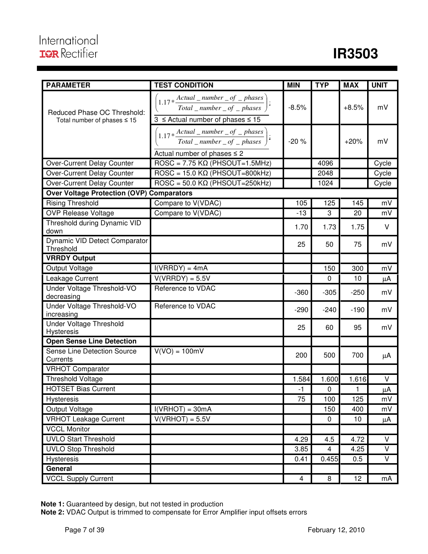| <b>PARAMETER</b>                                                | <b>TEST CONDITION</b>                                                                                                          | <b>MIN</b>              | <b>TYP</b>              | <b>MAX</b> | <b>UNIT</b> |
|-----------------------------------------------------------------|--------------------------------------------------------------------------------------------------------------------------------|-------------------------|-------------------------|------------|-------------|
| Reduced Phase OC Threshold:<br>Total number of phases $\leq 15$ | $\left(1.17*\frac{Actual\_number\_of\_phases}{Total\_number\_of\_phases}\right)$ :<br>$3 \le$ Actual number of phases $\le$ 15 | $-8.5%$                 |                         | $+8.5%$    | mV          |
|                                                                 | $\left(1.17*\frac{Actual_number\_of\_phases}{Total_number\_of\_phases}\right)$ :<br>Actual number of phases $\leq 2$           | $-20%$                  |                         | $+20%$     | mV          |
| Over-Current Delay Counter                                      | $\overline{ROSC} = 7.75 \text{ K}\Omega \text{ (PHSOUT=1.5MHz)}$                                                               |                         | 4096                    |            | Cycle       |
| <b>Over-Current Delay Counter</b>                               | $\text{ROSC} = 15.0 \text{ K}\Omega$ (PHSOUT=800kHz)                                                                           |                         | 2048                    |            | Cycle       |
| Over-Current Delay Counter                                      | $\text{ROSC} = 50.0 \text{ K}\Omega$ (PHSOUT=250kHz)                                                                           |                         | 1024                    |            | Cycle       |
| <b>Over Voltage Protection (OVP) Comparators</b>                |                                                                                                                                |                         |                         |            |             |
| <b>Rising Threshold</b>                                         | Compare to V(VDAC)                                                                                                             | 105                     | 125                     | 145        | mV          |
| <b>OVP Release Voltage</b>                                      | Compare to V(VDAC)                                                                                                             | $-13$                   | 3                       | 20         | mV          |
| Threshold during Dynamic VID<br>down                            |                                                                                                                                | 1.70                    | 1.73                    | 1.75       | V           |
| Dynamic VID Detect Comparator<br>Threshold                      |                                                                                                                                | 25                      | 50                      | 75         | mV          |
| <b>VRRDY Output</b>                                             |                                                                                                                                |                         |                         |            |             |
| Output Voltage                                                  | $I(VRRDY) = 4mA$                                                                                                               |                         | 150                     | 300        | mV          |
| Leakage Current                                                 | $V(VRRDY) = 5.5V$                                                                                                              |                         | 0                       | 10         | μA          |
| Under Voltage Threshold-VO<br>decreasing                        | Reference to VDAC                                                                                                              | $-360$                  | $-305$                  | $-250$     | mV          |
| Under Voltage Threshold-VO<br>increasing                        | Reference to VDAC                                                                                                              | $-290$                  | $-240$                  | $-190$     | mV          |
| <b>Under Voltage Threshold</b><br>Hysteresis                    |                                                                                                                                | 25                      | 60                      | 95         | mV          |
| <b>Open Sense Line Detection</b>                                |                                                                                                                                |                         |                         |            |             |
| Sense Line Detection Source<br>Currents                         | $V(VO) = 100mV$                                                                                                                | 200                     | 500                     | 700        | μA          |
| <b>VRHOT Comparator</b>                                         |                                                                                                                                |                         |                         |            |             |
| <b>Threshold Voltage</b>                                        |                                                                                                                                | 1.584                   | 1.600                   | 1.616      | V           |
| <b>HOTSET Bias Current</b>                                      |                                                                                                                                | 1                       | 0                       | 1          | μA          |
| Hysteresis                                                      |                                                                                                                                | 75                      | 100                     | 125        | mV          |
| <b>Output Voltage</b>                                           | $I(VRHOT) = 30mA$                                                                                                              |                         | 150                     | 400        | mV          |
| <b>VRHOT Leakage Current</b>                                    | $V(VRHOT) = 5.5V$                                                                                                              |                         | 0                       | 10         | μA          |
| <b>VCCL Monitor</b>                                             |                                                                                                                                |                         |                         |            |             |
| <b>UVLO Start Threshold</b>                                     |                                                                                                                                | 4.29                    | 4.5                     | 4.72       | $\vee$      |
| <b>UVLO Stop Threshold</b>                                      |                                                                                                                                | 3.85                    | $\overline{\mathbf{4}}$ | 4.25       | V           |
| Hysteresis                                                      |                                                                                                                                | 0.41                    | 0.455                   | 0.5        | V           |
| General                                                         |                                                                                                                                |                         |                         |            |             |
| <b>VCCL Supply Current</b>                                      |                                                                                                                                | $\overline{\mathbf{4}}$ | $\,8\,$                 | 12         | mA          |

**Note 1:** Guaranteed by design, but not tested in production

**Note 2:** VDAC Output is trimmed to compensate for Error Amplifier input offsets errors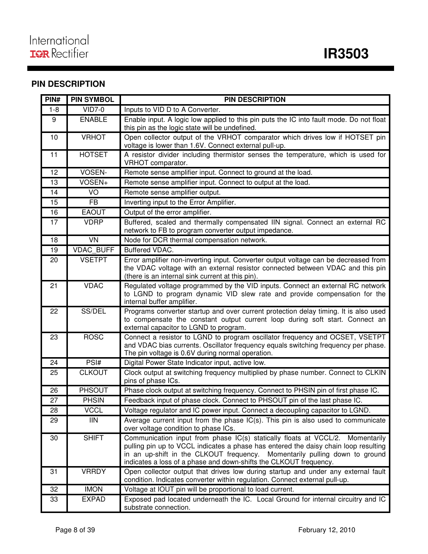### **PIN DESCRIPTION**

| PIN#    | <b>PIN SYMBOL</b> | <b>PIN DESCRIPTION</b>                                                                                                                                                                                                                                                                                                  |
|---------|-------------------|-------------------------------------------------------------------------------------------------------------------------------------------------------------------------------------------------------------------------------------------------------------------------------------------------------------------------|
| $1 - 8$ | $VID7-0$          | Inputs to VID D to A Converter.                                                                                                                                                                                                                                                                                         |
| 9       | <b>ENABLE</b>     | Enable input. A logic low applied to this pin puts the IC into fault mode. Do not float<br>this pin as the logic state will be undefined.                                                                                                                                                                               |
| 10      | <b>VRHOT</b>      | Open collector output of the VRHOT comparator which drives low if HOTSET pin<br>voltage is lower than 1.6V. Connect external pull-up.                                                                                                                                                                                   |
| 11      | <b>HOTSET</b>     | A resistor divider including thermistor senses the temperature, which is used for<br>VRHOT comparator.                                                                                                                                                                                                                  |
| 12      | VOSEN-            | Remote sense amplifier input. Connect to ground at the load.                                                                                                                                                                                                                                                            |
| 13      | VOSEN+            | Remote sense amplifier input. Connect to output at the load.                                                                                                                                                                                                                                                            |
| 14      | VO                | Remote sense amplifier output.                                                                                                                                                                                                                                                                                          |
| 15      | <b>FB</b>         | Inverting input to the Error Amplifier.                                                                                                                                                                                                                                                                                 |
| 16      | <b>EAOUT</b>      | Output of the error amplifier.                                                                                                                                                                                                                                                                                          |
| 17      | <b>VDRP</b>       | Buffered, scaled and thermally compensated IIN signal. Connect an external RC<br>network to FB to program converter output impedance.                                                                                                                                                                                   |
| 18      | $\overline{YN}$   | Node for DCR thermal compensation network.                                                                                                                                                                                                                                                                              |
| 19      | <b>VDAC BUFF</b>  | <b>Buffered VDAC.</b>                                                                                                                                                                                                                                                                                                   |
| 20      | <b>VSETPT</b>     | Error amplifier non-inverting input. Converter output voltage can be decreased from<br>the VDAC voltage with an external resistor connected between VDAC and this pin<br>(there is an internal sink current at this pin).                                                                                               |
| 21      | <b>VDAC</b>       | Regulated voltage programmed by the VID inputs. Connect an external RC network<br>to LGND to program dynamic VID slew rate and provide compensation for the<br>internal buffer amplifier.                                                                                                                               |
| 22      | SS/DEL            | Programs converter startup and over current protection delay timing. It is also used<br>to compensate the constant output current loop during soft start. Connect an<br>external capacitor to LGND to program.                                                                                                          |
| 23      | <b>ROSC</b>       | Connect a resistor to LGND to program oscillator frequency and OCSET, VSETPT<br>and VDAC bias currents. Oscillator frequency equals switching frequency per phase.<br>The pin voltage is 0.6V during normal operation.                                                                                                  |
| 24      | PSI#              | Digital Power State Indicator input, active low.                                                                                                                                                                                                                                                                        |
| 25      | <b>CLKOUT</b>     | Clock output at switching frequency multiplied by phase number. Connect to CLKIN<br>pins of phase ICs.                                                                                                                                                                                                                  |
| 26      | PHSOUT            | Phase clock output at switching frequency. Connect to PHSIN pin of first phase IC.                                                                                                                                                                                                                                      |
| 27      | <b>PHSIN</b>      | Feedback input of phase clock. Connect to PHSOUT pin of the last phase IC.                                                                                                                                                                                                                                              |
| 28      | VCCL              | Voltage regulator and IC power input. Connect a decoupling capacitor to LGND.                                                                                                                                                                                                                                           |
| 29      | <b>IIN</b>        | Average current input from the phase IC(s). This pin is also used to communicate<br>over voltage condition to phase ICs.                                                                                                                                                                                                |
| 30      | <b>SHIFT</b>      | Communication input from phase IC(s) statically floats at VCCL/2. Momentarily<br>pulling pin up to VCCL indicates a phase has entered the daisy chain loop resulting<br>in an up-shift in the CLKOUT frequency. Momentarily pulling down to ground<br>indicates a loss of a phase and down-shifts the CLKOUT frequency. |
| 31      | <b>VRRDY</b>      | Open collector output that drives low during startup and under any external fault<br>condition. Indicates converter within regulation. Connect external pull-up.                                                                                                                                                        |
| 32      | <b>IMON</b>       | Voltage at IOUT pin will be proportional to load current.                                                                                                                                                                                                                                                               |
| 33      | <b>EXPAD</b>      | Exposed pad located underneath the IC. Local Ground for internal circuitry and IC<br>substrate connection.                                                                                                                                                                                                              |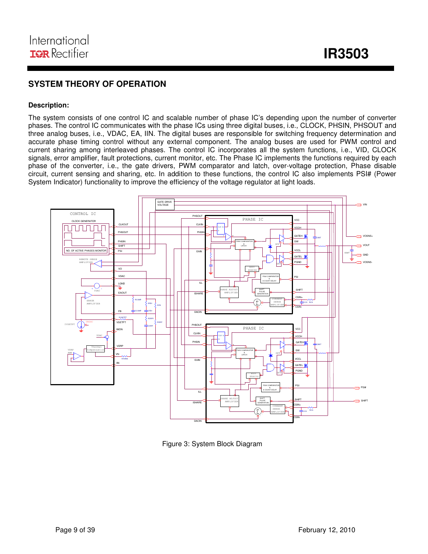#### **SYSTEM THEORY OF OPERATION**

#### **Description:**

The system consists of one control IC and scalable number of phase IC's depending upon the number of converter phases. The control IC communicates with the phase ICs using three digital buses, i.e., CLOCK, PHSIN, PHSOUT and three analog buses, i.e., VDAC, EA, IIN. The digital buses are responsible for switching frequency determination and accurate phase timing control without any external component. The analog buses are used for PWM control and current sharing among interleaved phases. The control IC incorporates all the system functions, i.e., VID, CLOCK signals, error amplifier, fault protections, current monitor, etc. The Phase IC implements the functions required by each phase of the converter, i.e., the gate drivers, PWM comparator and latch, over-voltage protection, Phase disable circuit, current sensing and sharing, etc. In addition to these functions, the control IC also implements PSI# (Power System Indicator) functionality to improve the efficiency of the voltage regulator at light loads.



Figure 3: System Block Diagram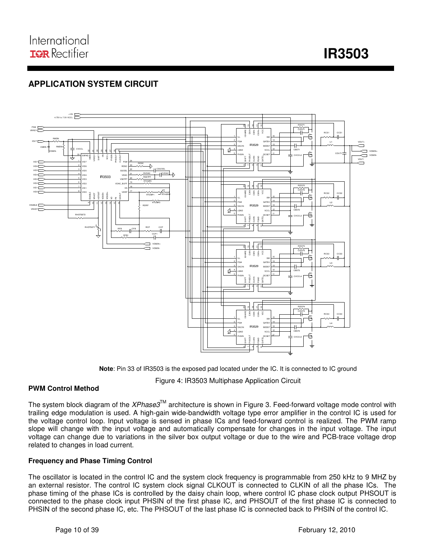**IR3503** 

### **APPLICATION SYSTEM CIRCUIT**



**Note**: Pin 33 of IR3503 is the exposed pad located under the IC. It is connected to IC ground

Figure 4: IR3503 Multiphase Application Circuit

#### **PWM Control Method**

The system block diagram of the XPhase3<sup>TM</sup> architecture is shown in Figure 3. Feed-forward voltage mode control with trailing edge modulation is used. A high-gain wide-bandwidth voltage type error amplifier in the control IC is used for the voltage control loop. Input voltage is sensed in phase ICs and feed-forward control is realized. The PWM ramp slope will change with the input voltage and automatically compensate for changes in the input voltage. The input voltage can change due to variations in the silver box output voltage or due to the wire and PCB-trace voltage drop related to changes in load current.

#### **Frequency and Phase Timing Control**

The oscillator is located in the control IC and the system clock frequency is programmable from 250 kHz to 9 MHZ by an external resistor. The control IC system clock signal CLKOUT is connected to CLKIN of all the phase ICs. The phase timing of the phase ICs is controlled by the daisy chain loop, where control IC phase clock output PHSOUT is connected to the phase clock input PHSIN of the first phase IC, and PHSOUT of the first phase IC is connected to PHSIN of the second phase IC, etc. The PHSOUT of the last phase IC is connected back to PHSIN of the control IC.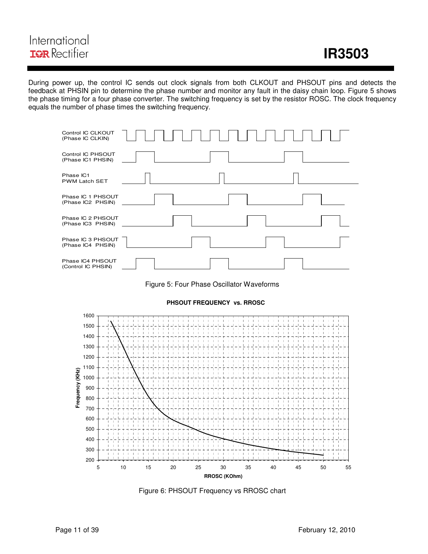# International **IGR** Rectifier

During power up, the control IC sends out clock signals from both CLKOUT and PHSOUT pins and detects the feedback at PHSIN pin to determine the phase number and monitor any fault in the daisy chain loop. Figure 5 shows the phase timing for a four phase converter. The switching frequency is set by the resistor ROSC. The clock frequency equals the number of phase times the switching frequency.









Figure 6: PHSOUT Frequency vs RROSC chart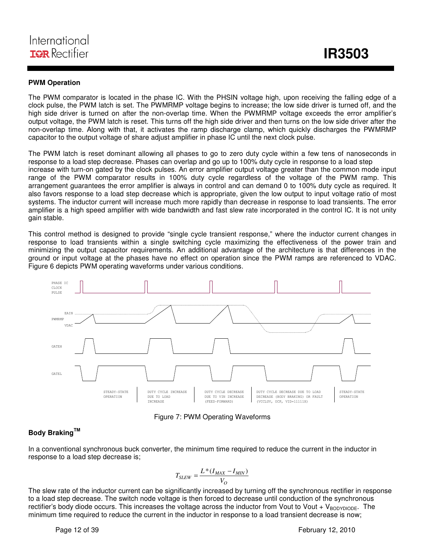#### **PWM Operation**

The PWM comparator is located in the phase IC. With the PHSIN voltage high, upon receiving the falling edge of a clock pulse, the PWM latch is set. The PWMRMP voltage begins to increase; the low side driver is turned off, and the high side driver is turned on after the non-overlap time. When the PWMRMP voltage exceeds the error amplifier's output voltage, the PWM latch is reset. This turns off the high side driver and then turns on the low side driver after the non-overlap time. Along with that, it activates the ramp discharge clamp, which quickly discharges the PWMRMP capacitor to the output voltage of share adjust amplifier in phase IC until the next clock pulse.

The PWM latch is reset dominant allowing all phases to go to zero duty cycle within a few tens of nanoseconds in response to a load step decrease. Phases can overlap and go up to 100% duty cycle in response to a load step increase with turn-on gated by the clock pulses. An error amplifier output voltage greater than the common mode input range of the PWM comparator results in 100% duty cycle regardless of the voltage of the PWM ramp. This arrangement guarantees the error amplifier is always in control and can demand 0 to 100% duty cycle as required. It also favors response to a load step decrease which is appropriate, given the low output to input voltage ratio of most systems. The inductor current will increase much more rapidly than decrease in response to load transients. The error amplifier is a high speed amplifier with wide bandwidth and fast slew rate incorporated in the control IC. It is not unity gain stable.

This control method is designed to provide "single cycle transient response," where the inductor current changes in response to load transients within a single switching cycle maximizing the effectiveness of the power train and minimizing the output capacitor requirements. An additional advantage of the architecture is that differences in the ground or input voltage at the phases have no effect on operation since the PWM ramps are referenced to VDAC. Figure 6 depicts PWM operating waveforms under various conditions.



Figure 7: PWM Operating Waveforms

#### **Body BrakingTM**

In a conventional synchronous buck converter, the minimum time required to reduce the current in the inductor in response to a load step decrease is;

$$
T_{SLEW} = \frac{L * (I_{MAX} - I_{MIN})}{V_O}
$$

The slew rate of the inductor current can be significantly increased by turning off the synchronous rectifier in response to a load step decrease. The switch node voltage is then forced to decrease until conduction of the synchronous rectifier's body diode occurs. This increases the voltage across the inductor from Vout to Vout + VBODYDIODE. The minimum time required to reduce the current in the inductor in response to a load transient decrease is now;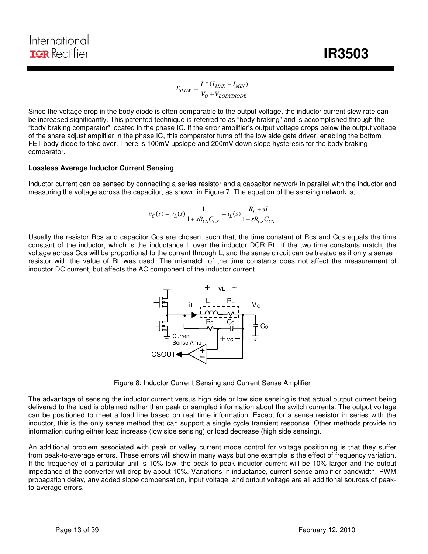$$
T_{SLEW} = \frac{L*(I_{MAX} - I_{MIN})}{V_O + V_{BODYDIODE}}
$$

Since the voltage drop in the body diode is often comparable to the output voltage, the inductor current slew rate can be increased significantly. This patented technique is referred to as "body braking" and is accomplished through the "body braking comparator" located in the phase IC. If the error amplifier's output voltage drops below the output voltage of the share adjust amplifier in the phase IC, this comparator turns off the low side gate driver, enabling the bottom FET body diode to take over. There is 100mV upslope and 200mV down slope hysteresis for the body braking comparator.

#### **Lossless Average Inductor Current Sensing**

Inductor current can be sensed by connecting a series resistor and a capacitor network in parallel with the inductor and measuring the voltage across the capacitor, as shown in Figure 7. The equation of the sensing network is,

$$
v_C(s) = v_L(s) \frac{1}{1 + sR_{CS}C_{CS}} = i_L(s) \frac{R_L + sL}{1 + sR_{CS}C_{CS}}
$$

Usually the resistor Rcs and capacitor Ccs are chosen, such that, the time constant of Rcs and Ccs equals the time constant of the inductor, which is the inductance L over the inductor DCR RL. If the two time constants match, the voltage across Ccs will be proportional to the current through L, and the sense circuit can be treated as if only a sense resistor with the value of RL was used. The mismatch of the time constants does not affect the measurement of inductor DC current, but affects the AC component of the inductor current.



Figure 8: Inductor Current Sensing and Current Sense Amplifier

The advantage of sensing the inductor current versus high side or low side sensing is that actual output current being delivered to the load is obtained rather than peak or sampled information about the switch currents. The output voltage can be positioned to meet a load line based on real time information. Except for a sense resistor in series with the inductor, this is the only sense method that can support a single cycle transient response. Other methods provide no information during either load increase (low side sensing) or load decrease (high side sensing).

An additional problem associated with peak or valley current mode control for voltage positioning is that they suffer from peak-to-average errors. These errors will show in many ways but one example is the effect of frequency variation. If the frequency of a particular unit is 10% low, the peak to peak inductor current will be 10% larger and the output impedance of the converter will drop by about 10%. Variations in inductance, current sense amplifier bandwidth, PWM propagation delay, any added slope compensation, input voltage, and output voltage are all additional sources of peakto-average errors.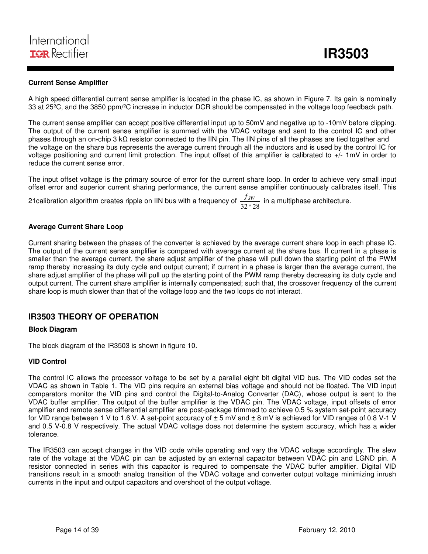#### **Current Sense Amplifier**

A high speed differential current sense amplifier is located in the phase IC, as shown in Figure 7. Its gain is nominally 33 at 25ºC, and the 3850 ppm/ºC increase in inductor DCR should be compensated in the voltage loop feedback path.

The current sense amplifier can accept positive differential input up to 50mV and negative up to -10mV before clipping. The output of the current sense amplifier is summed with the VDAC voltage and sent to the control IC and other phases through an on-chip 3 kΩ resistor connected to the IIN pin. The IIN pins of all the phases are tied together and the voltage on the share bus represents the average current through all the inductors and is used by the control IC for voltage positioning and current limit protection. The input offset of this amplifier is calibrated to +/- 1mV in order to reduce the current sense error.

The input offset voltage is the primary source of error for the current share loop. In order to achieve very small input offset error and superior current sharing performance, the current sense amplifier continuously calibrates itself. This

21calibration algorithm creates ripple on IIN bus with a frequency of  $\frac{f_{SW}}{32*28}$  in a multiphase architecture.

#### **Average Current Share Loop**

Current sharing between the phases of the converter is achieved by the average current share loop in each phase IC. The output of the current sense amplifier is compared with average current at the share bus. If current in a phase is smaller than the average current, the share adjust amplifier of the phase will pull down the starting point of the PWM ramp thereby increasing its duty cycle and output current; if current in a phase is larger than the average current, the share adjust amplifier of the phase will pull up the starting point of the PWM ramp thereby decreasing its duty cycle and output current. The current share amplifier is internally compensated; such that, the crossover frequency of the current share loop is much slower than that of the voltage loop and the two loops do not interact.

#### **IR3503 THEORY OF OPERATION**

#### **Block Diagram**

The block diagram of the IR3503 is shown in figure 10.

#### **VID Control**

The control IC allows the processor voltage to be set by a parallel eight bit digital VID bus. The VID codes set the VDAC as shown in Table 1. The VID pins require an external bias voltage and should not be floated. The VID input comparators monitor the VID pins and control the Digital-to-Analog Converter (DAC), whose output is sent to the VDAC buffer amplifier. The output of the buffer amplifier is the VDAC pin. The VDAC voltage, input offsets of error amplifier and remote sense differential amplifier are post-package trimmed to achieve 0.5 % system set-point accuracy for VID range between 1 V to 1.6 V. A set-point accuracy of ± 5 mV and ± 8 mV is achieved for VID ranges of 0.8 V-1 V and 0.5 V-0.8 V respectively. The actual VDAC voltage does not determine the system accuracy, which has a wider tolerance.

The IR3503 can accept changes in the VID code while operating and vary the VDAC voltage accordingly. The slew rate of the voltage at the VDAC pin can be adjusted by an external capacitor between VDAC pin and LGND pin. A resistor connected in series with this capacitor is required to compensate the VDAC buffer amplifier. Digital VID transitions result in a smooth analog transition of the VDAC voltage and converter output voltage minimizing inrush currents in the input and output capacitors and overshoot of the output voltage.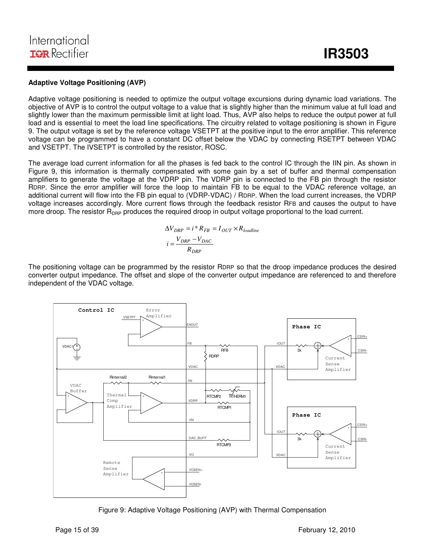#### **Adaptive Voltage Positioning (AVP)**

Adaptive voltage positioning is needed to optimize the output voltage excursions during dynamic load variations. The objective of AVP is to control the output voltage to a value that is slightly higher than the minimum value at full load and slightly lower than the maximum permissible limit at light load. Thus, AVP also helps to reduce the output power at full load and is essential to meet the load line specifications. The circuitry related to voltage positioning is shown in Figure 9. The output voltage is set by the reference voltage VSETPT at the positive input to the error amplifier. This reference voltage can be programmed to have a constant DC offset below the VDAC by connecting RSETPT between VDAC and VSETPT. The IVSETPT is controlled by the resistor, ROSC.

The average load current information for all the phases is fed back to the control IC through the IIN pin. As shown in Figure 9, this information is thermally compensated with some gain by a set of buffer and thermal compensation amplifiers to generate the voltage at the VDRP pin. The VDRP pin is connected to the FB pin through the resistor RDRP. Since the error amplifier will force the loop to maintain FB to be equal to the VDAC reference voltage, an additional current will flow into the FB pin equal to (VDRP-VDAC) / RDRP. When the load current increases, the VDRP voltage increases accordingly. More current flows through the feedback resistor RFB and causes the output to have more droop. The resistor  $R_{\text{DRP}}$  produces the required droop in output voltage proportional to the load current.

$$
\Delta V_{DRP} = i * R_{FB} = I_{OUT} \times R_{loading}
$$

$$
i = \frac{V_{DRP} - V_{DAC}}{R_{DRP}}
$$

The positioning voltage can be programmed by the resistor RDRP so that the droop impedance produces the desired converter output impedance. The offset and slope of the converter output impedance are referenced to and therefore independent of the VDAC voltage.



Figure 9: Adaptive Voltage Positioning (AVP) with Thermal Compensation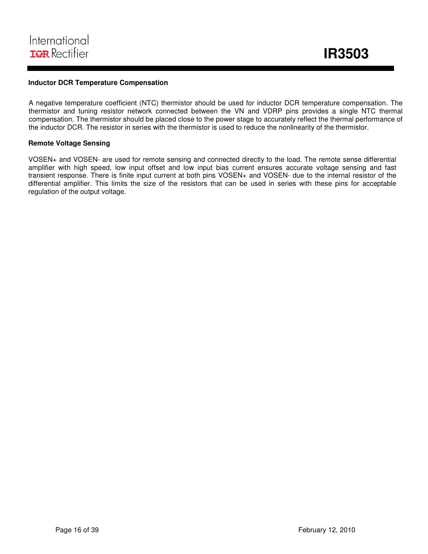#### **Inductor DCR Temperature Compensation**

A negative temperature coefficient (NTC) thermistor should be used for inductor DCR temperature compensation. The thermistor and tuning resistor network connected between the VN and VDRP pins provides a single NTC thermal compensation. The thermistor should be placed close to the power stage to accurately reflect the thermal performance of the inductor DCR. The resistor in series with the thermistor is used to reduce the nonlinearity of the thermistor.

#### **Remote Voltage Sensing**

VOSEN+ and VOSEN- are used for remote sensing and connected directly to the load. The remote sense differential amplifier with high speed, low input offset and low input bias current ensures accurate voltage sensing and fast transient response. There is finite input current at both pins VOSEN+ and VOSEN- due to the internal resistor of the differential amplifier. This limits the size of the resistors that can be used in series with these pins for acceptable regulation of the output voltage.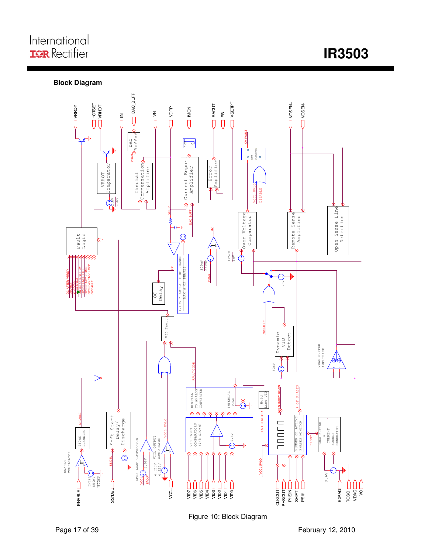# **International**<br> **IR3503**

#### **Block Diagram**

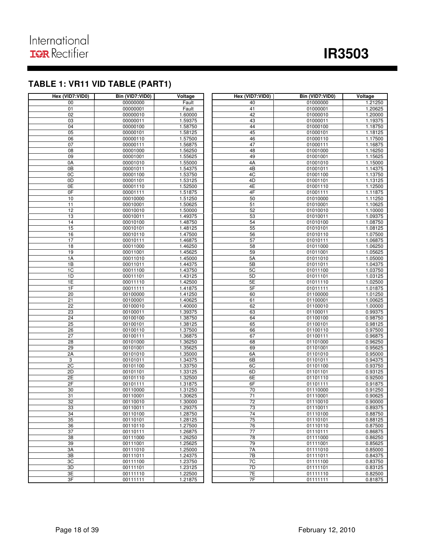### **TABLE 1: VR11 VID TABLE (PART1)**

| Hex (VID7:VID0) | Bin (VID7:VID0)      | Voltage            | Hex (VID7:VID0) | Bin (VID7:VID0)      | Voltage            |
|-----------------|----------------------|--------------------|-----------------|----------------------|--------------------|
| 00              | 00000000             | Fault              | 40              | 01000000             | 1.21250            |
| 01              | 00000001             | Fault              | 41              | 01000001             | 1.20625            |
| 02              | 00000010             | 1.60000            | 42              | 01000010             | 1.20000            |
| 03              | 00000011             | 1.59375            | 43              | 01000011             | 1.19375            |
| 04              | 00000100             | 1.58750            | 44              | 01000100             | 1.18750            |
| 05              | 00000101             | 1.58125            | 45              | 01000101             | 1.18125            |
| 06              | 00000110             | 1.57500            | 46              | 01000110             | 1.17500            |
| 07              | 00000111             | 1.56875            | 47              | 01000111             | 1.16875            |
| 08              | 00001000             | 1.56250            | 48              | 01001000             | 1.16250            |
| 09              | 00001001             | 1.55625            | 49              | 01001001             | 1.15625            |
| 0A              | 00001010             | 1.55000            | 4A              | 01001010             | 1.15000            |
| 0B              | 00001011             | 1.54375            | 4B              | 01001011             | 1.14375            |
| $\overline{OC}$ | 00001100             | 1.53750            | 4C              | 01001100             | 1.13750            |
| 0D              | 00001101             | 1.53125            | 4D              | 01001101             | 1.13125            |
| 0E              | 00001110             | 1.52500            | 4E              | 01001110             | 1.12500            |
| 0F              | 00001111             | 1.51875            | 4F              | 01001111             | 1.11875            |
| 10              | 00010000             | 1.51250            | 50              | 01010000             | 1.11250            |
| 11<br>12        | 00010001             | 1.50625            | 51<br>52        | 01010001             | 1.10625<br>1.10000 |
| 13              | 00010010             | 1.50000            | 53              | 01010010             | 1.09375            |
| 14              | 00010011<br>00010100 | 1.49375<br>1.48750 | 54              | 01010011<br>01010100 | 1.08750            |
| 15              | 00010101             | 1.48125            | 55              | 01010101             | 1.08125            |
| 16              | 00010110             | 1.47500            | 56              | 01010110             | 1.07500            |
| 17              | 00010111             | 1.46875            | 57              | 01010111             | 1.06875            |
| 18              | 00011000             | 1.46250            | 58              | 01011000             | 1.06250            |
| 19              | 00011001             | 1.45625            | 59              | 01011001             | 1.05625            |
| 1A              | 00011010             | 1.45000            | 5A              | 01011010             | 1.05000            |
| 1B              | 00011011             | 1.44375            | 5B              | 01011011             | 1.04375            |
| 1C              | 00011100             | 1.43750            | 5C              | 01011100             | 1.03750            |
| 1D              | 00011101             | 1.43125            | 5D              | 01011101             | 1.03125            |
| 1E              | 00011110             | 1.42500            | 5E              | 01011110             | 1.02500            |
| 1F              | 00011111             | 1.41875            | 5F              | 01011111             | 1.01875            |
| $\overline{20}$ | 00100000             | 1.41250            | 60              | 01100000             | 1.01250            |
| $\overline{21}$ | 00100001             | 1.40625            | 61              | 01100001             | 1.00625            |
| $\overline{22}$ | 00100010             | 1.40000            | 62              | 01100010             | 1.00000            |
| 23              | 00100011             | 1.39375            | 63              | 01100011             | 0.99375            |
| 24              | 00100100             | 1.38750            | 64              | 01100100             | 0.98750            |
| 25              | 00100101             | 1.38125            | 65              | 01100101             | 0.98125            |
| 26              | 00100110             | 1.37500            | 66              | 01100110             | 0.97500            |
| $\overline{27}$ | 00100111             | 1.36875            | 67              | 01100111             | 0.96875            |
| 28              | 00101000             | 1.36250            | 68              | 01101000             | 0.96250            |
| 29              | 00101001             | 1.35625            | 69              | 01101001             | 0.95625            |
| 2A              | 00101010             | 1.35000            | 6A              | 01101010             | 0.95000            |
| 3               | 00101011             | 1.34375            | 6B              | 01101011             | 0.94375            |
| 2C              | 00101100             | 1.33750            | 6C              | 01101100             | 0.93750            |
| 2D              | 00101101             | 1.33125            | 6D              | 01101101             | 0.93125            |
| 2E              | 00101110             | 1.32500            | 6E              | 01101110             | 0.92500            |
| 2F              | 00101111             | 1.31875            | 6F              | 01101111             | 0.91875            |
| 30              | 00110000             | 1.31250            | 70              | 01110000             | 0.91250            |
| 31              | 00110001             | 1.30625            | 71              | 01110001             | 0.90625            |
| 32              | 00110010             | 1.30000            | 72              | 01110010             | 0.90000            |
| 33              | 00110011             | 1.29375            | 73              | 01110011             | 0.89375            |
| 34              | 00110100<br>00110101 | 1.28750            | 74<br>75        | 01110100             | 0.88750            |
| 35              |                      | 1.28125            |                 | 01110101             | 0.88125            |
| 36<br>37        | 00110110<br>00110111 | 1.27500<br>1.26875 | 76<br>77        | 01110110<br>01110111 | 0.87500<br>0.86875 |
| 38              | 00111000             | 1.26250            | 78              | 01111000             | 0.86250            |
| 39              | 00111001             | 1.25625            | 79              | 01111001             | 0.85625            |
| 3A              | 00111010             | 1.25000            | 7A              | 01111010             | 0.85000            |
| 3B              | 00111011             | 1.24375            | 7B              | 01111011             | 0.84375            |
| 3C              | 00111100             | 1.23750            | 7C              | 01111100             | 0.83750            |
| 3D              | 00111101             | 1.23125            | 7D              | 01111101             | 0.83125            |
| 3E              | 00111110             | 1.22500            | 7E              | 01111110             | 0.82500            |
| 3F              | 00111111             | 1.21875            | 7F              | 01111111             | 0.81875            |
|                 |                      |                    |                 |                      |                    |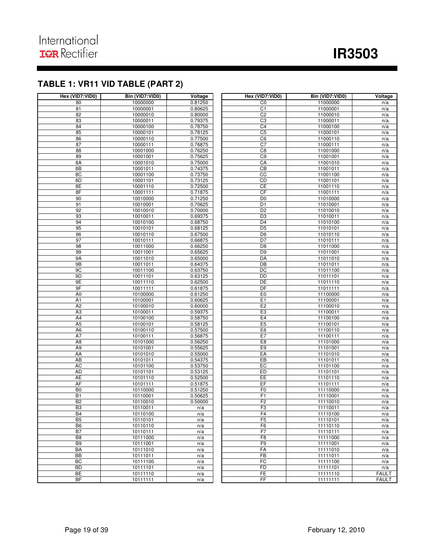## **TABLE 1: VR11 VID TABLE (PART 2)**

| Hex (VID7:VID0)        | Bin (VID7:VID0)      | Voltage            | Hex (VID7:VID0)                  | Bin (VID7:VID0)      | Voltage                      |
|------------------------|----------------------|--------------------|----------------------------------|----------------------|------------------------------|
| 80                     | 10000000             | 0.81250            | C0                               | 11000000             | n/a                          |
| 81                     | 10000001             | 0.80625            | C <sub>1</sub>                   | 11000001             | n/a                          |
| 82                     | 10000010             | 0.80000            | C <sub>2</sub>                   | 11000010             | n/a                          |
| 83                     | 10000011             | 0.79375            | C3                               | 11000011             | n/a                          |
| 84                     | 10000100             | 0.78750            | C <sub>4</sub>                   | 11000100             | n/a                          |
| 85                     | 10000101             | 0.78125            | C <sub>5</sub>                   | 11000101             | n/a                          |
| 86                     | 10000110             | 0.77500            | C6                               | 11000110             | n/a                          |
| 87                     | 10000111             | 0.76875            | C <sub>7</sub>                   | 11000111             | n/a                          |
| 88                     | 10001000             | 0.76250            | $\overline{C8}$                  | 11001000             | n/a                          |
| 89                     | 10001001             | 0.75625            | C9                               | 11001001             | n/a                          |
| 8A                     | 10001010             | 0.75000            | CA                               | 11001010             | n/a                          |
| 8B                     | 10001011             | 0.74375            | $\overline{CB}$                  | 11001011             | n/a                          |
| 8C                     | 10001100             | 0.73750            | cc                               | 11001100             | n/a                          |
| 8D                     | 10001101             | 0.73125            | CD                               | 11001101             | n/a                          |
| 8E                     | 10001110             | 0.72500            | <b>CE</b>                        | 11001110             | n/a                          |
| 8F                     | 10001111             | 0.71875            | CF                               | 11001111             | n/a                          |
| 90                     | 10010000             | 0.71250            | D <sub>0</sub>                   | 11010000             | n/a                          |
| 91                     | 10010001             | 0.70625            | D <sub>1</sub>                   | 11010001             | n/a                          |
| 92                     | 10010010             | 0.70000            | D <sub>2</sub>                   | 11010010             | n/a                          |
| 93                     | 10010011             | 0.69375            | D <sub>3</sub>                   | 11010011             | n/a                          |
| 94                     | 10010100             | 0.68750            | D <sub>4</sub>                   | 11010100             | n/a                          |
| 95                     | 10010101             | 0.68125            | D <sub>5</sub>                   | 11010101             | n/a                          |
| 96                     | 10010110             | 0.67500            | D <sub>6</sub>                   | 11010110             | n/a                          |
| 97                     | 10010111             | 0.66875            | D7                               | 11010111             | n/a                          |
| 98                     | 10011000             | 0.66250            | D <sub>8</sub><br>D <sub>9</sub> | 11011000             | n/a                          |
| 99<br>9A               | 10011001<br>10011010 | 0.65625<br>0.65000 | DA                               | 11011001<br>11011010 | n/a<br>n/a                   |
| 9B                     | 10011011             | 0.64375            | $\overline{DB}$                  | 11011011             | n/a                          |
| 9C                     | 10011100             | 0.63750            | DC                               | 11011100             | n/a                          |
| 9D                     | 10011101             | 0.63125            | DD                               | 11011101             | n/a                          |
| 9E                     | 10011110             | 0.62500            | DE                               | 11011110             | n/a                          |
| 9F                     | 10011111             | 0.61875            | DF                               | 11011111             | n/a                          |
| A <sub>0</sub>         | 10100000             | 0.61250            | E <sub>0</sub>                   | 11100000             | n/a                          |
| A <sub>1</sub>         | 10100001             | 0.60625            | E <sub>1</sub>                   | 11100001             | n/a                          |
| A2                     | 10100010             | 0.60000            | E <sub>2</sub>                   | 11100010             | n/a                          |
| A <sub>3</sub>         | 10100011             | 0.59375            | E <sub>3</sub>                   | 11100011             | n/a                          |
| A4                     | 10100100             | 0.58750            | E4                               | 11100100             | n/a                          |
| A <sub>5</sub>         | 10100101             | 0.58125            | E <sub>5</sub>                   | 11100101             | n/a                          |
| A <sub>6</sub>         | 10100110             | 0.57500            | E6                               | 11100110             | n/a                          |
| A7                     | 10100111             | 0.56875            | E7                               | 11100111             | n/a                          |
| A <sub>8</sub>         | 10101000             | 0.56250            | E <sub>8</sub>                   | 11101000             | n/a                          |
| A <sub>9</sub>         | 10101001             | 0.55625            | E <sub>9</sub>                   | 11101001             | n/a                          |
| AA                     | 10101010             | 0.55000            | EA                               | 11101010             | n/a                          |
| AB                     | 10101011             | 0.54375            | EB                               | 11101011             | n/a                          |
| AC                     | 10101100             | 0.53750            | EC                               | 11101100             | n/a                          |
| AD                     | 10101101             | 0.53125            | ED                               | 11101101             | n/a                          |
| <b>AE</b>              | 10101110             | 0.52500            | EE                               | 11101110             | n/a                          |
| <b>AF</b>              | 10101111             | 0.51875            | EF                               | 11101111             | n/a                          |
| B <sub>0</sub>         | 10110000             | 0.51250            | F <sub>0</sub>                   | 11110000             | n/a                          |
| B1                     | 10110001             | 0.50625            | F1                               | 11110001             | n/a                          |
| B <sub>2</sub>         | 10110010             | 0.50000            | F2                               | 11110010             | n/a                          |
| B3                     | 10110011             | n/a                | F <sub>3</sub>                   | 11110011             | n/a                          |
| <b>B4</b>              | 10110100             | n/a                | F <sub>4</sub>                   | 11110100             | n/a                          |
| B <sub>5</sub>         | 10110101             | n/a                | F5                               | 11110101             | n/a                          |
| B <sub>6</sub>         | 10110110             | n/a                | F <sub>6</sub>                   | 11110110             | n/a                          |
| B7                     | 10110111             | n/a                | F7                               | 11110111             | n/a                          |
| B <sub>8</sub>         | 10111000             | n/a                | F <sub>8</sub>                   | 11111000             | n/a                          |
| B <sub>9</sub>         | 10111001             | n/a                | F <sub>9</sub>                   | 11111001             | n/a                          |
| <b>BA</b>              | 10111010             | n/a                | FA                               | 11111010             | n/a                          |
| BB                     | 10111011             | n/a                | FB                               | 11111011             | n/a                          |
| BC                     | 10111100             | n/a                | FC                               | 11111100             | n/a                          |
| <b>BD</b><br><b>BE</b> | 10111101             | n/a                | FD<br>FE                         | 11111101             | n/a                          |
| BF                     | 10111110<br>10111111 | n/a                | FF                               | 11111110<br>11111111 | <b>FAULT</b><br><b>FAULT</b> |
|                        |                      | n/a                |                                  |                      |                              |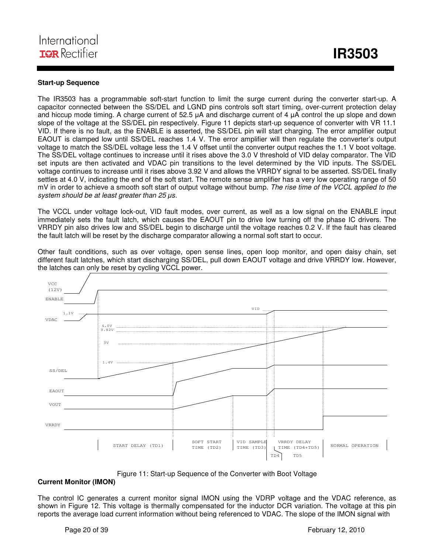#### **Start-up Sequence**

The IR3503 has a programmable soft-start function to limit the surge current during the converter start-up. A capacitor connected between the SS/DEL and LGND pins controls soft start timing, over-current protection delay and hiccup mode timing. A charge current of 52.5 µA and discharge current of 4 µA control the up slope and down slope of the voltage at the SS/DEL pin respectively. Figure 11 depicts start-up sequence of converter with VR 11.1 VID. If there is no fault, as the ENABLE is asserted, the SS/DEL pin will start charging. The error amplifier output EAOUT is clamped low until SS/DEL reaches 1.4 V. The error amplifier will then regulate the converter's output voltage to match the SS/DEL voltage less the 1.4 V offset until the converter output reaches the 1.1 V boot voltage. The SS/DEL voltage continues to increase until it rises above the 3.0 V threshold of VID delay comparator. The VID set inputs are then activated and VDAC pin transitions to the level determined by the VID inputs. The SS/DEL voltage continues to increase until it rises above 3.92 V and allows the VRRDY signal to be asserted. SS/DEL finally settles at 4.0 V, indicating the end of the soft start. The remote sense amplifier has a very low operating range of 50 mV in order to achieve a smooth soft start of output voltage without bump. The rise time of the VCCL applied to the system should be at least greater than 25  $\mu$ s.

The VCCL under voltage lock-out, VID fault modes, over current, as well as a low signal on the ENABLE input immediately sets the fault latch, which causes the EAOUT pin to drive low turning off the phase IC drivers. The VRRDY pin also drives low and SS/DEL begin to discharge until the voltage reaches 0.2 V. If the fault has cleared the fault latch will be reset by the discharge comparator allowing a normal soft start to occur.

Other fault conditions, such as over voltage, open sense lines, open loop monitor, and open daisy chain, set different fault latches, which start discharging SS/DEL, pull down EAOUT voltage and drive VRRDY low. However, the latches can only be reset by cycling VCCL power.



Figure 11: Start-up Sequence of the Converter with Boot Voltage

#### **Current Monitor (IMON)**

The control IC generates a current monitor signal IMON using the VDRP voltage and the VDAC reference, as shown in Figure 12. This voltage is thermally compensated for the inductor DCR variation. The voltage at this pin reports the average load current information without being referenced to VDAC. The slope of the IMON signal with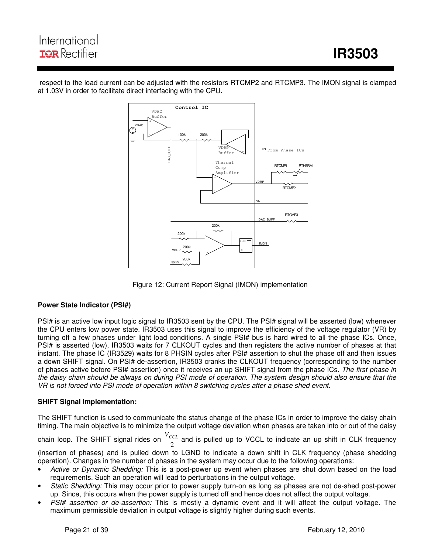

 respect to the load current can be adjusted with the resistors RTCMP2 and RTCMP3. The IMON signal is clamped at 1.03V in order to facilitate direct interfacing with the CPU.

Figure 12: Current Report Signal (IMON) implementation

#### **Power State Indicator (PSI#)**

PSI# is an active low input logic signal to IR3503 sent by the CPU. The PSI# signal will be asserted (low) whenever the CPU enters low power state. IR3503 uses this signal to improve the efficiency of the voltage regulator (VR) by turning off a few phases under light load conditions. A single PSI# bus is hard wired to all the phase ICs. Once, PSI# is asserted (low), IR3503 waits for 7 CLKOUT cycles and then registers the active number of phases at that instant. The phase IC (IR3529) waits for 8 PHSIN cycles after PSI# assertion to shut the phase off and then issues a down SHIFT signal. On PSI# de-assertion, IR3503 cranks the CLKOUT frequency (corresponding to the number of phases active before PSI# assertion) once it receives an up SHIFT signal from the phase ICs. The first phase in the daisy chain should be always on during PSI mode of operation. The system design should also ensure that the VR is not forced into PSI mode of operation within 8 switching cycles after a phase shed event.

#### **SHIFT Signal Implementation:**

The SHIFT function is used to communicate the status change of the phase ICs in order to improve the daisy chain timing. The main objective is to minimize the output voltage deviation when phases are taken into or out of the daisy

chain loop. The SHIFT signal rides on  $\frac{V_{CCL}}{2}$  and is pulled up to VCCL to indicate an up shift in CLK frequency (insertion of phases) and is pulled down to LGND to indicate a down shift in CLK frequency (phase shedding

operation). Changes in the number of phases in the system may occur due to the following operations:

- Active or Dynamic Shedding: This is a post-power up event when phases are shut down based on the load requirements. Such an operation will lead to perturbations in the output voltage.
- Static Shedding: This may occur prior to power supply turn-on as long as phases are not de-shed post-power up. Since, this occurs when the power supply is turned off and hence does not affect the output voltage.
- PSI# assertion or de-assertion: This is mostly a dynamic event and it will affect the output voltage. The maximum permissible deviation in output voltage is slightly higher during such events.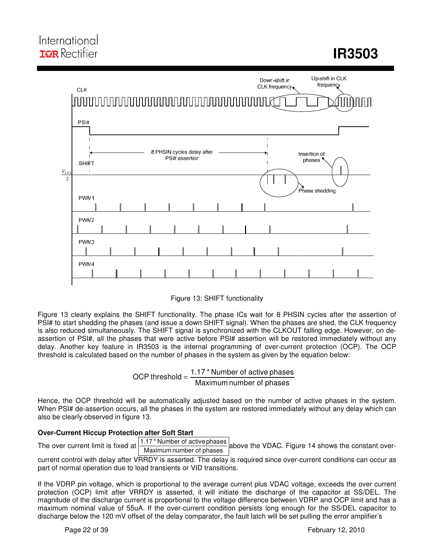

Figure 13: SHIFT functionality

Figure 13 clearly explains the SHIFT functionality. The phase ICs wait for 8 PHSIN cycles after the assertion of PSI# to start shedding the phases (and issue a down SHIFT signal). When the phases are shed, the CLK frequency is also reduced simultaneously. The SHIFT signal is synchronized with the CLKOUT falling edge. However, on deassertion of PSI#, all the phases that were active before PSI# assertion will be restored immediately without any delay. Another key feature in IR3503 is the internal programming of over-current protection (OCP). The OCP threshold is calculated based on the number of phases in the system as given by the equation below:

> Maximum number of phases OCP threshold =  $\frac{1.17 \times \text{Number of active phases}}{\text{Mean of the surface}}$

Hence, the OCP threshold will be automatically adjusted based on the number of active phases in the system. When PSI# de-assertion occurs, all the phases in the system are restored immediately without any delay which can also be clearly observed in figure 13.

#### **Over-Current Hiccup Protection after Soft Start**

The over current limit is fixed at  $\frac{1.17 \times \text{Number of active phases}}{\text{Maximum number of phases}}$  above the VDAC. Figure 14 shows the constant over-

current control with delay after VRRDY is asserted. The delay is required since over-current conditions can occur as part of normal operation due to load transients or VID transitions.

If the VDRP pin voltage, which is proportional to the average current plus VDAC voltage, exceeds the over current protection (OCP) limit after VRRDY is asserted, it will initiate the discharge of the capacitor at SS/DEL. The magnitude of the discharge current is proportional to the voltage difference between VDRP and OCP limit and has a maximum nominal value of 55uA. If the over-current condition persists long enough for the SS/DEL capacitor to discharge below the 120 mV offset of the delay comparator, the fault latch will be set pulling the error amplifier's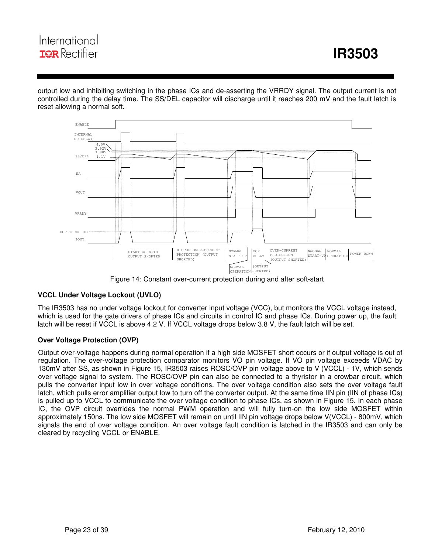# **IR3503**

output low and inhibiting switching in the phase ICs and de-asserting the VRRDY signal. The output current is not controlled during the delay time. The SS/DEL capacitor will discharge until it reaches 200 mV and the fault latch is reset allowing a normal soft**.** 



Figure 14: Constant over-current protection during and after soft-start

#### **VCCL Under Voltage Lockout (UVLO)**

The IR3503 has no under voltage lockout for converter input voltage (VCC), but monitors the VCCL voltage instead, which is used for the gate drivers of phase ICs and circuits in control IC and phase ICs. During power up, the fault latch will be reset if VCCL is above 4.2 V. If VCCL voltage drops below 3.8 V, the fault latch will be set.

#### **Over Voltage Protection (OVP)**

Output over-voltage happens during normal operation if a high side MOSFET short occurs or if output voltage is out of regulation. The over-voltage protection comparator monitors VO pin voltage. If VO pin voltage exceeds VDAC by 130mV after SS, as shown in Figure 15, IR3503 raises ROSC/OVP pin voltage above to V (VCCL) - 1V, which sends over voltage signal to system. The ROSC/OVP pin can also be connected to a thyristor in a crowbar circuit, which pulls the converter input low in over voltage conditions. The over voltage condition also sets the over voltage fault latch, which pulls error amplifier output low to turn off the converter output. At the same time IIN pin (IIN of phase ICs) is pulled up to VCCL to communicate the over voltage condition to phase ICs, as shown in Figure 15. In each phase IC, the OVP circuit overrides the normal PWM operation and will fully turn-on the low side MOSFET within approximately 150ns. The low side MOSFET will remain on until IIN pin voltage drops below V(VCCL) - 800mV, which signals the end of over voltage condition. An over voltage fault condition is latched in the IR3503 and can only be cleared by recycling VCCL or ENABLE.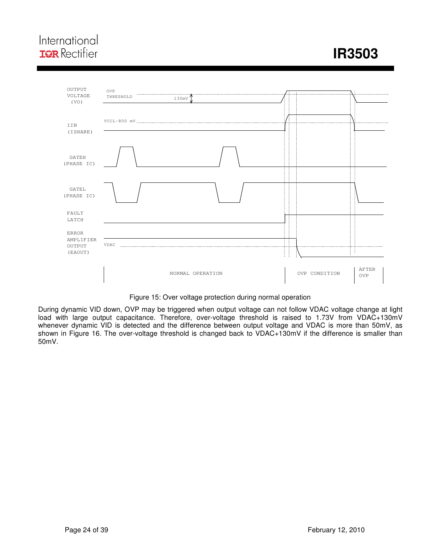# **IR3503**



Figure 15: Over voltage protection during normal operation

During dynamic VID down, OVP may be triggered when output voltage can not follow VDAC voltage change at light load with large output capacitance. Therefore, over-voltage threshold is raised to 1.73V from VDAC+130mV whenever dynamic VID is detected and the difference between output voltage and VDAC is more than 50mV, as shown in Figure 16. The over-voltage threshold is changed back to VDAC+130mV if the difference is smaller than 50mV.

International **IQR** Rectifier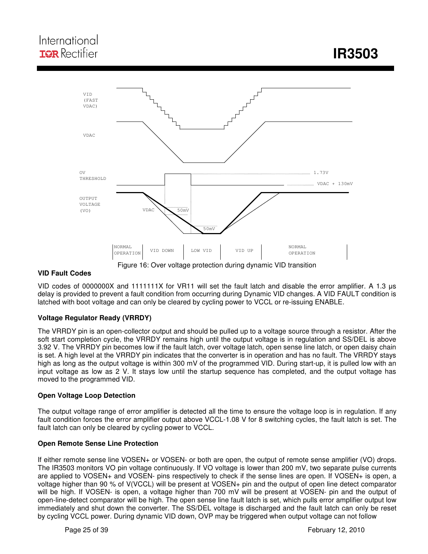# International **TOR** Rectifier



Figure 16: Over voltage protection during dynamic VID transition

#### **VID Fault Codes**

VID codes of 0000000X and 1111111X for VR11 will set the fault latch and disable the error amplifier. A 1.3 µs delay is provided to prevent a fault condition from occurring during Dynamic VID changes. A VID FAULT condition is latched with boot voltage and can only be cleared by cycling power to VCCL or re-issuing ENABLE.

#### **Voltage Regulator Ready (VRRDY)**

The VRRDY pin is an open-collector output and should be pulled up to a voltage source through a resistor. After the soft start completion cycle, the VRRDY remains high until the output voltage is in regulation and SS/DEL is above 3.92 V. The VRRDY pin becomes low if the fault latch, over voltage latch, open sense line latch, or open daisy chain is set. A high level at the VRRDY pin indicates that the converter is in operation and has no fault. The VRRDY stays high as long as the output voltage is within 300 mV of the programmed VID. During start-up, it is pulled low with an input voltage as low as 2 V. It stays low until the startup sequence has completed, and the output voltage has moved to the programmed VID.

#### **Open Voltage Loop Detection**

The output voltage range of error amplifier is detected all the time to ensure the voltage loop is in regulation. If any fault condition forces the error amplifier output above VCCL-1.08 V for 8 switching cycles, the fault latch is set. The fault latch can only be cleared by cycling power to VCCL.

#### **Open Remote Sense Line Protection**

If either remote sense line VOSEN+ or VOSEN- or both are open, the output of remote sense amplifier (VO) drops. The IR3503 monitors VO pin voltage continuously. If VO voltage is lower than 200 mV, two separate pulse currents are applied to VOSEN+ and VOSEN- pins respectively to check if the sense lines are open. If VOSEN+ is open, a voltage higher than 90 % of V(VCCL) will be present at VOSEN+ pin and the output of open line detect comparator will be high. If VOSEN- is open, a voltage higher than 700 mV will be present at VOSEN- pin and the output of open-line-detect comparator will be high. The open sense line fault latch is set, which pulls error amplifier output low immediately and shut down the converter. The SS/DEL voltage is discharged and the fault latch can only be reset by cycling VCCL power. During dynamic VID down, OVP may be triggered when output voltage can not follow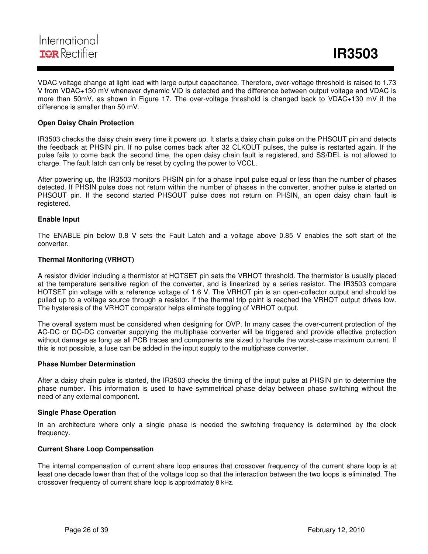VDAC voltage change at light load with large output capacitance. Therefore, over-voltage threshold is raised to 1.73 V from VDAC+130 mV whenever dynamic VID is detected and the difference between output voltage and VDAC is more than 50mV, as shown in Figure 17. The over-voltage threshold is changed back to VDAC+130 mV if the difference is smaller than 50 mV.

#### **Open Daisy Chain Protection**

IR3503 checks the daisy chain every time it powers up. It starts a daisy chain pulse on the PHSOUT pin and detects the feedback at PHSIN pin. If no pulse comes back after 32 CLKOUT pulses, the pulse is restarted again. If the pulse fails to come back the second time, the open daisy chain fault is registered, and SS/DEL is not allowed to charge. The fault latch can only be reset by cycling the power to VCCL.

After powering up, the IR3503 monitors PHSIN pin for a phase input pulse equal or less than the number of phases detected. If PHSIN pulse does not return within the number of phases in the converter, another pulse is started on PHSOUT pin. If the second started PHSOUT pulse does not return on PHSIN, an open daisy chain fault is registered.

#### **Enable Input**

The ENABLE pin below 0.8 V sets the Fault Latch and a voltage above 0.85 V enables the soft start of the converter.

#### **Thermal Monitoring (VRHOT)**

A resistor divider including a thermistor at HOTSET pin sets the VRHOT threshold. The thermistor is usually placed at the temperature sensitive region of the converter, and is linearized by a series resistor. The IR3503 compare HOTSET pin voltage with a reference voltage of 1.6 V. The VRHOT pin is an open-collector output and should be pulled up to a voltage source through a resistor. If the thermal trip point is reached the VRHOT output drives low. The hysteresis of the VRHOT comparator helps eliminate toggling of VRHOT output.

The overall system must be considered when designing for OVP. In many cases the over-current protection of the AC-DC or DC-DC converter supplying the multiphase converter will be triggered and provide effective protection without damage as long as all PCB traces and components are sized to handle the worst-case maximum current. If this is not possible, a fuse can be added in the input supply to the multiphase converter.

#### **Phase Number Determination**

After a daisy chain pulse is started, the IR3503 checks the timing of the input pulse at PHSIN pin to determine the phase number. This information is used to have symmetrical phase delay between phase switching without the need of any external component.

#### **Single Phase Operation**

In an architecture where only a single phase is needed the switching frequency is determined by the clock frequency.

#### **Current Share Loop Compensation**

The internal compensation of current share loop ensures that crossover frequency of the current share loop is at least one decade lower than that of the voltage loop so that the interaction between the two loops is eliminated. The crossover frequency of current share loop is approximately 8 kHz.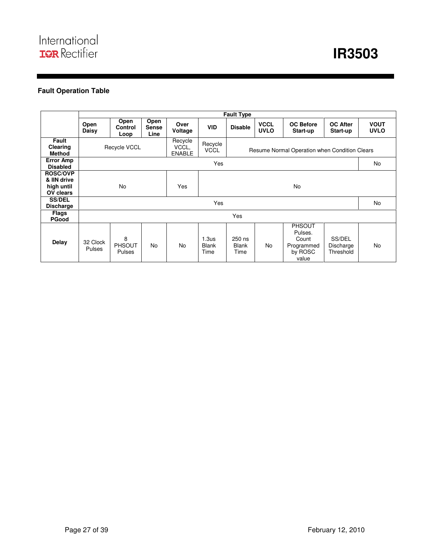#### **Fault Operation Table**

|                                                           |                           | <b>Fault Type</b>                   |                              |                                   |                                           |                                |                            |                                                                     |                                  |                            |
|-----------------------------------------------------------|---------------------------|-------------------------------------|------------------------------|-----------------------------------|-------------------------------------------|--------------------------------|----------------------------|---------------------------------------------------------------------|----------------------------------|----------------------------|
|                                                           | Open<br>Daisy             | Open<br>Control<br>Loop             | Open<br><b>Sense</b><br>Line | Over<br>Voltage                   | <b>VID</b>                                | <b>Disable</b>                 | <b>VCCL</b><br><b>UVLO</b> | <b>OC Before</b><br>Start-up                                        | <b>OC After</b><br>Start-up      | <b>VOUT</b><br><b>UVLO</b> |
| <b>Fault</b><br>Clearing<br><b>Method</b>                 |                           | <b>Recycle VCCL</b>                 |                              | Recycle<br>VCCL,<br><b>ENABLE</b> | Recycle<br><b>VCCL</b>                    |                                |                            | Resume Normal Operation when Condition Clears                       |                                  |                            |
| <b>Error Amp</b><br><b>Disabled</b>                       | Yes                       |                                     |                              |                                   |                                           |                                | No                         |                                                                     |                                  |                            |
| <b>ROSC/OVP</b><br>& IIN drive<br>high until<br>OV clears | No<br>Yes<br>No           |                                     |                              |                                   |                                           |                                |                            |                                                                     |                                  |                            |
| <b>SS/DEL</b><br><b>Discharge</b>                         |                           |                                     |                              |                                   | Yes                                       |                                |                            |                                                                     |                                  | No                         |
| <b>Flags</b><br><b>PGood</b>                              | Yes                       |                                     |                              |                                   |                                           |                                |                            |                                                                     |                                  |                            |
| Delay                                                     | 32 Clock<br><b>Pulses</b> | 8<br><b>PHSOUT</b><br><b>Pulses</b> | No                           | No.                               | 1.3 <sub>us</sub><br><b>Blank</b><br>Time | 250 ns<br><b>Blank</b><br>Time | <b>No</b>                  | <b>PHSOUT</b><br>Pulses.<br>Count<br>Programmed<br>by ROSC<br>value | SS/DEL<br>Discharge<br>Threshold | No                         |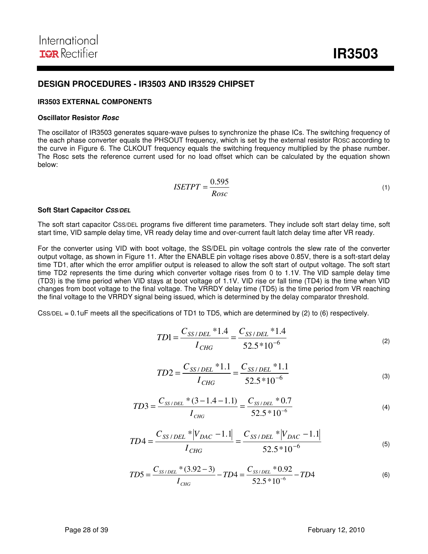#### **DESIGN PROCEDURES - IR3503 AND IR3529 CHIPSET**

#### **IR3503 EXTERNAL COMPONENTS**

#### **Oscillator Resistor Rosc**

The oscillator of IR3503 generates square-wave pulses to synchronize the phase ICs. The switching frequency of the each phase converter equals the PHSOUT frequency, which is set by the external resistor ROSC according to the curve in Figure 6. The CLKOUT frequency equals the switching frequency multiplied by the phase number. The Rosc sets the reference current used for no load offset which can be calculated by the equation shown below:

$$
ISETPT = \frac{0.595}{Rosc} \tag{1}
$$

#### **Soft Start Capacitor CSS/DEL**

The soft start capacitor CSS/DEL programs five different time parameters. They include soft start delay time, soft start time, VID sample delay time, VR ready delay time and over-current fault latch delay time after VR ready.

For the converter using VID with boot voltage, the SS/DEL pin voltage controls the slew rate of the converter output voltage, as shown in Figure 11. After the ENABLE pin voltage rises above 0.85V, there is a soft-start delay time TD1, after which the error amplifier output is released to allow the soft start of output voltage. The soft start time TD2 represents the time during which converter voltage rises from 0 to 1.1V. The VID sample delay time (TD3) is the time period when VID stays at boot voltage of 1.1V. VID rise or fall time (TD4) is the time when VID changes from boot voltage to the final voltage. The VRRDY delay time (TD5) is the time period from VR reaching the final voltage to the VRRDY signal being issued, which is determined by the delay comparator threshold.

CSS/DEL = 0.1uF meets all the specifications of TD1 to TD5, which are determined by (2) to (6) respectively.

$$
TD1 = \frac{C_{SS/DEL} * 1.4}{I_{CHG}} = \frac{C_{SS/DEL} * 1.4}{52.5 * 10^{-6}}
$$
(2)

$$
TD2 = \frac{C_{SS/DEL} * 1.1}{I_{CHG}} = \frac{C_{SS/DEL} * 1.1}{52.5 * 10^{-6}}
$$
(3)

$$
TD3 = \frac{C_{SS/DEL} * (3 - 1.4 - 1.1)}{I_{CHG}} = \frac{C_{SS/DEL} * 0.7}{52.5 * 10^{-6}}
$$
(4)

$$
TD4 = \frac{C_{SS/DEL} * |V_{DAC} - 1.1|}{I_{CHG}} = \frac{C_{SS/DEL} * |V_{DAC} - 1.1|}{52.5 * 10^{-6}}
$$
(5)

$$
TD5 = \frac{C_{SS/DEL} * (3.92 - 3)}{I_{CHG}} - TD4 = \frac{C_{SS/DEL} * 0.92}{52.5 * 10^{-6}} - TD4
$$
 (6)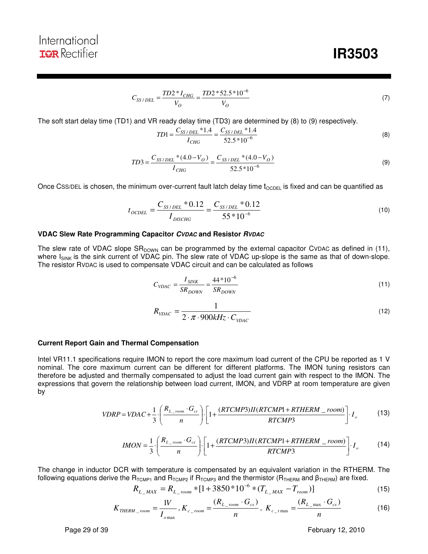$$
C_{SS/DEL} = \frac{TD2 \cdot N_{CHG}}{V_O} = \frac{TD2 \cdot 52.5 \cdot 10^{-6}}{V_O} \tag{7}
$$

The soft start delay time (TD1) and VR ready delay time (TD3) are determined by (8) to (9) respectively.

$$
TD1 = \frac{C_{SS/DEL} * 1.4}{I_{CHG}} = \frac{C_{SS/DEL} * 1.4}{52.5 * 10^{-6}}
$$
(8)

$$
TD3 = \frac{C_{SS/DEL} * (4.0 - V_O)}{I_{CHG}} = \frac{C_{SS/DEL} * (4.0 - V_O)}{52.5 * 10^{-6}}
$$
(9)

Once CSS/DEL is chosen, the minimum over-current fault latch delay time  $t_{\text{OCDEL}}$  is fixed and can be quantified as

$$
t_{OCDEL} = \frac{C_{SS/DEL} * 0.12}{I_{DISCHG}} = \frac{C_{SS/DEL} * 0.12}{55 * 10^{-6}}
$$
(10)

#### **VDAC Slew Rate Programming Capacitor CVDAC and Resistor RVDAC**

The slew rate of VDAC slope  $SR_{DOWN}$  can be programmed by the external capacitor CVDAC as defined in (11), where  $I_{SINK}$  is the sink current of VDAC pin. The slew rate of VDAC up-slope is the same as that of down-slope. The resistor RVDAC is used to compensate VDAC circuit and can be calculated as follows

$$
C_{VDAC} = \frac{I_{SNK}}{SR_{DOWN}} = \frac{44 * 10^{-6}}{SR_{DOWN}}
$$
(11)

$$
R_{\text{VDAC}} = \frac{1}{2 \cdot \pi \cdot 900 \, kHz \cdot C_{\text{VDAC}}}
$$
\n<sup>(12)</sup>

#### **Current Report Gain and Thermal Compensation**

Intel VR11.1 specifications require IMON to report the core maximum load current of the CPU be reported as 1 V nominal. The core maximum current can be different for different platforms. The IMON tuning resistors can therefore be adjusted and thermally compensated to adjust the load current gain with respect to the IMON. The expressions that govern the relationship between load current, IMON, and VDRP at room temperature are given by

$$
VDRP = VDAC + \frac{1}{3} \cdot \left( \frac{R_{L\_room} \cdot G_{cs}}{n} \right) \cdot \left[ 1 + \frac{(RTCMP3)II(RTCMP1 + RTHERM\_room)}{RTCMP3} \right] \cdot I_o \tag{13}
$$

$$
IMON = \frac{1}{3} \cdot \left( \frac{R_{L\_room} \cdot G_{cs}}{n} \right) \cdot \left[ 1 + \frac{(RTCMDP3)II(RTCMP1 + RTHERM\_room)}{RTCMP3} \right] \cdot I_o \tag{14}
$$

The change in inductor DCR with temperature is compensated by an equivalent variation in the RTHERM. The following equations derive the  $R_{TCMP1}$  and  $R_{TCMP2}$  if  $R_{TCMP3}$  and the thermistor ( $R_{THERM}$  and  $\beta_{THERM}$ ) are fixed.

$$
R_{L_{\_MAX}} = R_{L_{\_room}} * [1 + 3850 * 10^{-6} * (T_{L_{\_MAX}} - T_{room})]
$$
\n(15)

$$
K_{\text{THERM}_{\text{1}-\text{room}}} = \frac{1V}{I_{o\max}} \,, K_{c_{\text{1}-\text{room}}} = \frac{(R_{L_{\text{1}-\text{room}}}\cdot G_{cs})}{n} \,, K_{c_{\text{1}-\text{max}}} = \frac{(R_{L_{\text{1}-\text{max}}}\cdot G_{cs})}{n} \tag{16}
$$

Page 29 of 39 February 12, 2010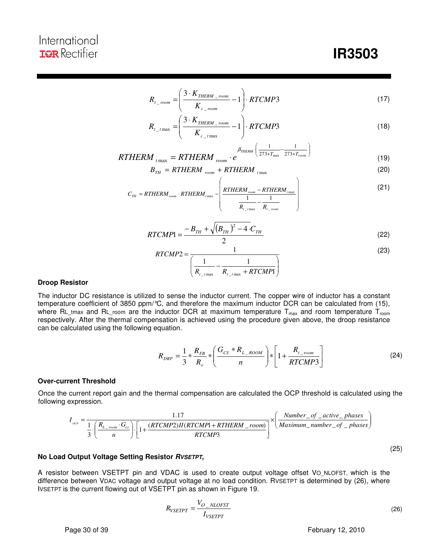# International **IGR** Rectifier

# **IR3503**

$$
R_{t_{\text{1}-room}} = \left(\frac{3 \cdot K_{\text{THERM\_room}}}{K_{c_{\text{2}-room}}} - 1\right) \cdot RTCMP3
$$
\n(17)

$$
R_{t_{\text{r}}\text{max}} = \left(\frac{3 \cdot K_{\text{THERM\_room}}}{K_{c_{\text{r}}\text{max}}} - 1\right) \cdot RTCMP3
$$
\n(18)

$$
RTHERM_{t\max} = RTHERM_{room} \cdot e^{\beta_{THERM} \left(\frac{1}{273 + T_{max}} - \frac{1}{273 + T_{room}}\right)}
$$
(19)

$$
B_{TH} = RTHERM_{room} + RTHERM_{tmax}
$$
 (20)

$$
C_{TH} = RTHERM_{room} \cdot RTHERM_{rmax} - \left(\frac{RTHERM_{room} - RTHERM_{rmax}}{1 - \frac{1}{R_{r_{r,max}}} - \frac{1}{R_{r_{r,room}}}}\right)
$$
(21)

$$
RTCMP1 = \frac{-B_{TH} + \sqrt{(B_{TH})^2 - 4} \cdot C_{TH}}{2}
$$
 (22)

$$
RTCMP2 = \frac{1}{\left(\frac{1}{R_{t_{\text{1}}/\text{max}}} - \frac{1}{R_{t_{\text{2}}/\text{max}} + RTCMP1}\right)}
$$
(23)

#### **Droop Resistor**

The inductor DC resistance is utilized to sense the inductor current. The copper wire of inductor has a constant temperature coefficient of 3850 ppm/°C, and therefore the maximum inductor DCR can be calculated from (15), where RL\_tmax and RL\_room are the inductor DCR at maximum temperature  $T_{max}$  and room temperature  $T_{room}$ respectively. After the thermal compensation is achieved using the procedure given above, the droop resistance can be calculated using the following equation.

$$
R_{DRP} = \frac{1}{3} * \frac{R_{FB}}{R_o} * \left(\frac{G_{CS} * R_{L\_Room}}{n}\right) * \left[1 + \frac{R_{t\_room}}{RTCMP3}\right]
$$
(24)

#### **Over-current Threshold**

Once the current report gain and the thermal compensation are calculated the OCP threshold is calculated using the following expression.

$$
I_{ocr} = \frac{1}{1 \cdot \left(\frac{R_{L\_room} \cdot G_{cs}}{n}\right) \cdot \left[1 + \frac{(RTCMP2)II(RTCMP1 + RTHERM\_room)}{RTCMP3}\right]} \times \left(\frac{Number\_of\_active\_phases}{Maximum\_number\_of\_phases}\right)
$$

#### **No Load Output Voltage Setting Resistor RVSETPT,**

A resistor between VSETPT pin and VDAC is used to create output voltage offset VO\_NLOFST, which is the difference between VDAC voltage and output voltage at no load condition. RVSETPT is determined by (26), where IVSETPT is the current flowing out of VSETPT pin as shown in Figure 19.

$$
R_{VSETPT} = \frac{V_{O_NLOFST}}{I_{VSETPT}} \tag{26}
$$

Page 30 of 39 February 12, 2010

(25)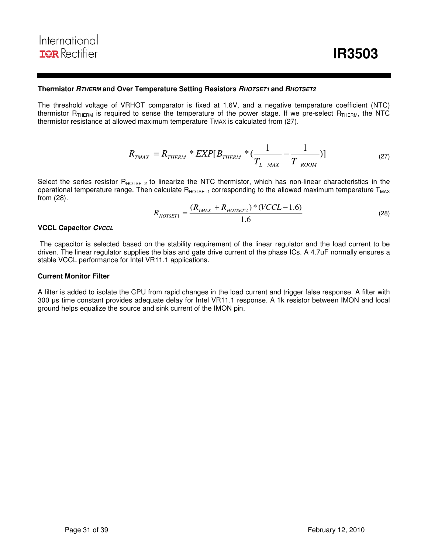#### **Thermistor RTHERM and Over Temperature Setting Resistors RHOTSET1 and RHOTSET2**

The threshold voltage of VRHOT comparator is fixed at 1.6V, and a negative temperature coefficient (NTC) thermistor  $R_{\text{THERM}}$  is required to sense the temperature of the power stage. If we pre-select  $R_{\text{THERM}}$ , the NTC thermistor resistance at allowed maximum temperature TMAX is calculated from (27).

$$
R_{TMAX} = R_{THERM} * EXP[B_{THERM} * (\frac{1}{T_{L\_MAX}} - \frac{1}{T_{ROM}})]
$$
\n(27)

Select the series resistor  $R_{HOTSET2}$  to linearize the NTC thermistor, which has non-linear characteristics in the operational temperature range. Then calculate  $R_{HOTSET1}$  corresponding to the allowed maximum temperature  $T_{MAX}$ from (28).

$$
R_{HOTSET1} = \frac{(R_{TMAX} + R_{HOTSET2}) * (VCL - 1.6)}{1.6}
$$
 (28)

#### **VCCL Capacitor CVCCL**

 The capacitor is selected based on the stability requirement of the linear regulator and the load current to be driven. The linear regulator supplies the bias and gate drive current of the phase ICs. A 4.7uF normally ensures a stable VCCL performance for Intel VR11.1 applications.

#### **Current Monitor Filter**

A filter is added to isolate the CPU from rapid changes in the load current and trigger false response. A filter with 300 µs time constant provides adequate delay for Intel VR11.1 response. A 1k resistor between IMON and local ground helps equalize the source and sink current of the IMON pin.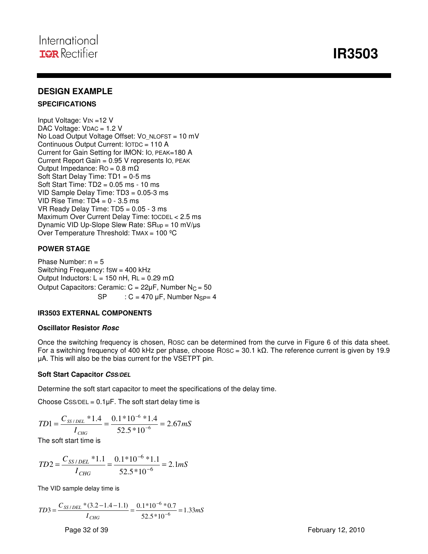# *<u><b>IR3503*</u>

#### **DESIGN EXAMPLE**

#### **SPECIFICATIONS**

Input Voltage: VIN =12 V DAC Voltage: VDAC = 1.2 V No Load Output Voltage Offset: VO\_NLOFST = 10 mV Continuous Output Current: IOTDC = 110 A Current for Gain Setting for IMON: IO, PEAK=180 A Current Report Gain = 0.95 V represents IO, PEAK Output Impedance:  $Ro = 0.8$  m $\Omega$ Soft Start Delay Time: TD1 = 0-5 ms Soft Start Time: TD2 = 0.05 ms - 10 ms VID Sample Delay Time: TD3 = 0.05-3 ms VID Rise Time:  $TD4 = 0 - 3.5$  ms VR Ready Delay Time: TD5 = 0.05 - 3 ms Maximum Over Current Delay Time: tOCDEL < 2.5 ms Dynamic VID Up-Slope Slew Rate: SRup = 10 mV/µs Over Temperature Threshold: TMAX = 100 ºC

#### **POWER STAGE**

Phase Number:  $n = 5$ Switching Frequency: fSW = 400 kHz Output Inductors: L = 150 nH, RL =  $0.29$  m $\Omega$ Output Capacitors: Ceramic:  $C = 22\mu F$ , Number N<sub>C</sub> = 50  $SP$  :  $C = 470 \mu F$ , Number N<sub>SP</sub>= 4

#### **IR3503 EXTERNAL COMPONENTS**

#### **Oscillator Resistor Rosc**

Once the switching frequency is chosen, ROSC can be determined from the curve in Figure 6 of this data sheet. For a switching frequency of 400 kHz per phase, choose ROSC = 30.1 kΩ. The reference current is given by 19.9 µA. This will also be the bias current for the VSETPT pin.

#### **Soft Start Capacitor CSS/DEL**

Determine the soft start capacitor to meet the specifications of the delay time.

Choose  $CSS/DEL = 0.1\mu F$ . The soft start delay time is

$$
TD1 = \frac{C_{SS/DEL} * 1.4}{I_{CHG}} = \frac{0.1 * 10^{-6} * 1.4}{52.5 * 10^{-6}} = 2.67 mS
$$

The soft start time is

$$
TD2 = \frac{C_{SS/DEL} * 1.1}{I_{CHG}} = \frac{0.1 * 10^{-6} * 1.1}{52.5 * 10^{-6}} = 2.1 mS
$$

The VID sample delay time is

$$
TD3 = \frac{C_{SS/DEL} * (3.2 - 1.4 - 1.1)}{I_{CHG}} = \frac{0.1 * 10^{-6} * 0.7}{52.5 * 10^{-6}} = 1.33 mS
$$

Page 32 of 39 February 12, 2010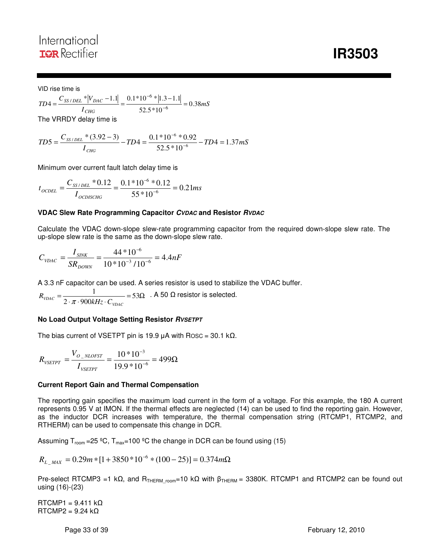# International **TOR** Rectifier

VID rise time is

$$
TD4 = \frac{C_{SS/DEL} * |V_{DAC} - 1.1|}{I_{CHG}} = \frac{0.1 * 10^{-6} * |1.3 - 1.1|}{52.5 * 10^{-6}} = 0.38 mS
$$

The VRRDY delay time is

$$
TD5 = \frac{C_{SS/DEL} * (3.92 - 3)}{I_{CHG}} - TD4 = \frac{0.1 * 10^{-6} * 0.92}{52.5 * 10^{-6}} - TD4 = 1.37 mS
$$

Minimum over current fault latch delay time is

$$
t_{\text{OCDEL}} = \frac{C_{SS/DEL} * 0.12}{I_{\text{OCDISCHG}}} = \frac{0.1 * 10^{-6} * 0.12}{55 * 10^{-6}} = 0.21ms
$$

#### **VDAC Slew Rate Programming Capacitor CVDAC and Resistor RVDAC**

Calculate the VDAC down-slope slew-rate programming capacitor from the required down-slope slew rate. The up-slope slew rate is the same as the down-slope slew rate.

$$
C_{\text{VDAC}} = \frac{I_{\text{SINK}}}{SR_{\text{DOWN}}} = \frac{44 * 10^{-6}}{10 * 10^{-3} / 10^{-6}} = 4.4 nF
$$

A 3.3 nF capacitor can be used. A series resistor is used to stabilize the VDAC buffer.

 $= 53\Omega$  $\cdot \pi \cdot 900kHz \cdot$  $=\frac{1}{2 \cdot \pi \cdot 900kHz \cdot C_{\text{VDAC}}}$  = 53 1  $R_{\text{VDAC}} = \frac{1}{2 \cdot \pi \cdot 900 \text{kHz} \cdot C_{\text{VDAC}}} = 53 \Omega$  . A 50  $\Omega$  resistor is selected.

#### **No Load Output Voltage Setting Resistor RVSETPT**

The bias current of VSETPT pin is 19.9  $\mu$ A with Rosc = 30.1 kΩ.

$$
R_{\text{vSETPT}} = \frac{V_{O\_NLOFST}}{I_{\text{vSETPT}}} = \frac{10 * 10^{-3}}{19.9 * 10^{-6}} = 499 \Omega
$$

#### **Current Report Gain and Thermal Compensation**

The reporting gain specifies the maximum load current in the form of a voltage. For this example, the 180 A current represents 0.95 V at IMON. If the thermal effects are neglected (14) can be used to find the reporting gain. However, as the inductor DCR increases with temperature, the thermal compensation string (RTCMP1, RTCMP2, and RTHERM) can be used to compensate this change in DCR.

Assuming  $T_{room} = 25 \,^{\circ}\text{C}$ ,  $T_{max} = 100 \,^{\circ}\text{C}$  the change in DCR can be found using (15)

 $R_{L_{MAX}} = 0.29m * [1 + 3850 * 10^{-6} * (100 - 25)] = 0.374m\Omega$ \_

Pre-select RTCMP3 =1 kΩ, and R<sub>THERM</sub> <sub>room</sub>=10 kΩ with  $β<sub>THERM</sub> = 3380K$ . RTCMP1 and RTCMP2 can be found out using (16)-(23)

 $RTCMP1 = 9.411 k\Omega$  $RTCMP2 = 9.24 kΩ$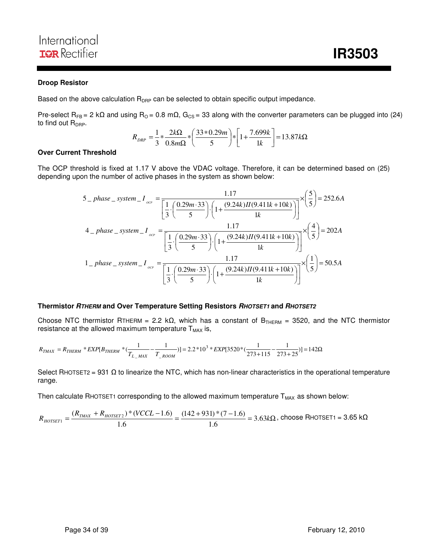#### **Droop Resistor**

Based on the above calculation  $R_{DRP}$  can be selected to obtain specific output impedance.

Pre-select R<sub>FB</sub> = 2 kΩ and using R<sub>O</sub> = 0.8 mΩ, G<sub>CS</sub> = 33 along with the converter parameters can be plugged into (24) to find out  $R_{\text{DRP}}$ .

$$
R_{DRP} = \frac{1}{3} * \frac{2k\Omega}{0.8m\Omega} * \left(\frac{33 * 0.29m}{5}\right) * \left[1 + \frac{7.699k}{1k}\right] = 13.87k\Omega
$$

#### **Over Current Threshold**

The OCP threshold is fixed at 1.17 V above the VDAC voltage. Therefore, it can be determined based on (25) depending upon the number of active phases in the system as shown below:

$$
5_{-}phase_{-}system_{-}I_{_{ocr}} = \frac{1.17}{\left[\frac{1}{3} \cdot \left(\frac{0.29m \cdot 33}{5}\right) \cdot \left(1 + \frac{(9.24k)II(9.411k + 10k)}{1k}\right)\right]} \times \left(\frac{5}{5}\right) = 252.6A
$$
  

$$
4_{-}phase_{-}system_{-}I_{_{ocr}} = \frac{1.17}{\left[\frac{1}{3} \cdot \left(\frac{0.29m \cdot 33}{5}\right) \cdot \left(1 + \frac{(9.24k)II(9.411k + 10k)}{1k}\right)\right]} \times \left(\frac{4}{5}\right) = 202A
$$
  

$$
1_{-}phase_{-}system_{-}I_{_{ocr}} = \frac{1.17}{\left[\frac{1}{3} \cdot \left(\frac{0.29m \cdot 33}{5}\right) \cdot \left(1 + \frac{(9.24k)II(9.411k + 10k)}{1k}\right)\right]} \times \left(\frac{1}{5}\right) = 50.5A
$$

#### **Thermistor RTHERM and Over Temperature Setting Resistors RHOTSET1 and RHOTSET2**

Choose NTC thermistor RTHERM = 2.2 kΩ, which has a constant of B<sub>THERM</sub> = 3520, and the NTC thermistor resistance at the allowed maximum temperature  $T<sub>MAX</sub>$  is,

$$
R_{TMAX}=R_{THERM}*EXP[B_{THERM}*(\frac{1}{T_{L\_MAX}}-\frac{1}{T_{\_Room}})]=2.2*10^{3}*EXP[3520*(\frac{1}{273+115}-\frac{1}{273+25})]=142\Omega
$$

Select RHOTSET2 = 931  $\Omega$  to linearize the NTC, which has non-linear characteristics in the operational temperature range.

Then calculate RHOTSET1 corresponding to the allowed maximum temperature  $T_{MAX}$  as shown below:

$$
R_{\text{HOTSET1}} = \frac{(R_{\text{TMAX}} + R_{\text{HOTSET2}}) * (VCCL - 1.6)}{1.6} = \frac{(142 + 931) * (7 - 1.6)}{1.6} = 3.63 \text{k}\Omega, \text{ choose RHOTSET1} = 3.65 \text{ k}\Omega
$$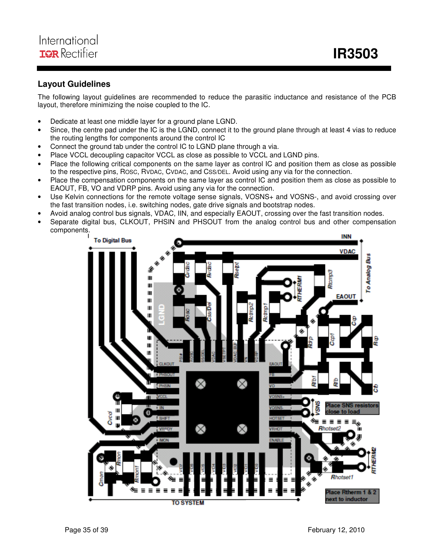#### **Layout Guidelines**

The following layout guidelines are recommended to reduce the parasitic inductance and resistance of the PCB layout, therefore minimizing the noise coupled to the IC.

- Dedicate at least one middle layer for a ground plane LGND.
- Since, the centre pad under the IC is the LGND, connect it to the ground plane through at least 4 vias to reduce the routing lengths for components around the control IC
- Connect the ground tab under the control IC to LGND plane through a via.
- Place VCCL decoupling capacitor VCCL as close as possible to VCCL and LGND pins.
- Place the following critical components on the same layer as control IC and position them as close as possible to the respective pins, ROSC, RVDAC, CVDAC, and CSS/DEL. Avoid using any via for the connection.
- Place the compensation components on the same layer as control IC and position them as close as possible to EAOUT, FB, VO and VDRP pins. Avoid using any via for the connection.
- Use Kelvin connections for the remote voltage sense signals, VOSNS+ and VOSNS-, and avoid crossing over the fast transition nodes, i.e. switching nodes, gate drive signals and bootstrap nodes.
- Avoid analog control bus signals, VDAC, IIN, and especially EAOUT, crossing over the fast transition nodes.
- Separate digital bus, CLKOUT, PHSIN and PHSOUT from the analog control bus and other compensation components.

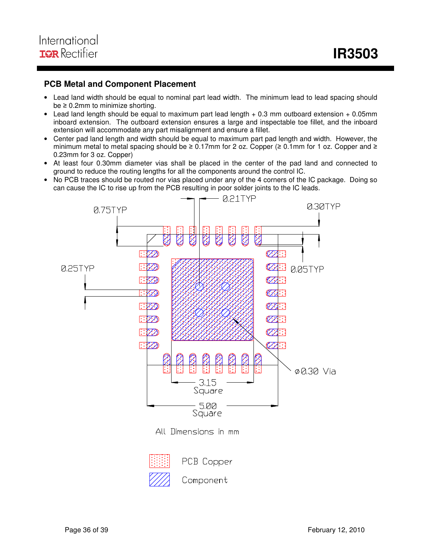#### **PCB Metal and Component Placement**

- Lead land width should be equal to nominal part lead width. The minimum lead to lead spacing should  $be \geq 0.2$ mm to minimize shorting.
- Lead land length should be equal to maximum part lead length + 0.3 mm outboard extension + 0.05mm inboard extension. The outboard extension ensures a large and inspectable toe fillet, and the inboard extension will accommodate any part misalignment and ensure a fillet.
- Center pad land length and width should be equal to maximum part pad length and width. However, the minimum metal to metal spacing should be ≥ 0.17mm for 2 oz. Copper (≥ 0.1mm for 1 oz. Copper and ≥ 0.23mm for 3 oz. Copper)
- At least four 0.30mm diameter vias shall be placed in the center of the pad land and connected to ground to reduce the routing lengths for all the components around the control IC.
- No PCB traces should be routed nor vias placed under any of the 4 corners of the IC package. Doing so can cause the IC to rise up from the PCB resulting in poor solder joints to the IC leads.

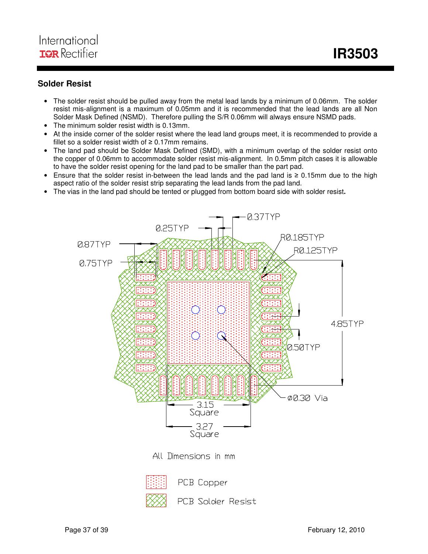#### **Solder Resist**

- The solder resist should be pulled away from the metal lead lands by a minimum of 0.06mm. The solder resist mis-alignment is a maximum of 0.05mm and it is recommended that the lead lands are all Non Solder Mask Defined (NSMD). Therefore pulling the S/R 0.06mm will always ensure NSMD pads.
- The minimum solder resist width is 0.13mm.
- At the inside corner of the solder resist where the lead land groups meet, it is recommended to provide a fillet so a solder resist width of  $\geq 0.17$ mm remains.
- The land pad should be Solder Mask Defined (SMD), with a minimum overlap of the solder resist onto the copper of 0.06mm to accommodate solder resist mis-alignment. In 0.5mm pitch cases it is allowable to have the solder resist opening for the land pad to be smaller than the part pad.
- Ensure that the solder resist in-between the lead lands and the pad land is  $\geq 0.15$ mm due to the high aspect ratio of the solder resist strip separating the lead lands from the pad land.
- The vias in the land pad should be tented or plugged from bottom board side with solder resist**.**

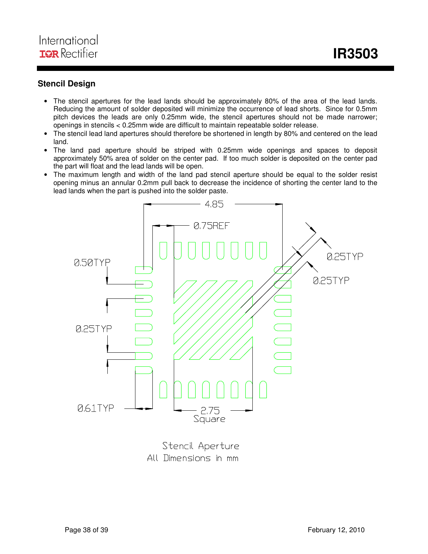#### **Stencil Design**

- The stencil apertures for the lead lands should be approximately 80% of the area of the lead lands. Reducing the amount of solder deposited will minimize the occurrence of lead shorts. Since for 0.5mm pitch devices the leads are only 0.25mm wide, the stencil apertures should not be made narrower; openings in stencils < 0.25mm wide are difficult to maintain repeatable solder release.
- The stencil lead land apertures should therefore be shortened in length by 80% and centered on the lead land.
- The land pad aperture should be striped with 0.25mm wide openings and spaces to deposit approximately 50% area of solder on the center pad. If too much solder is deposited on the center pad the part will float and the lead lands will be open.
- The maximum length and width of the land pad stencil aperture should be equal to the solder resist opening minus an annular 0.2mm pull back to decrease the incidence of shorting the center land to the lead lands when the part is pushed into the solder paste.



Stencil Aperture All Dimensions in mm